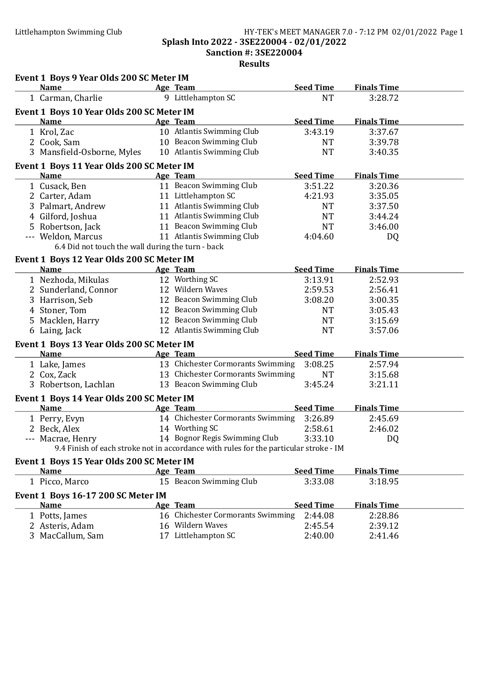### Littlehampton Swimming Club HY-TEK's MEET MANAGER 7.0 - 7:12 PM 02/01/2022 Page 1 Splash Into 2022 - 3SE220004 - 02/01/2022 Sanction #: 3SE220004

| Event 1 Boys 9 Year Olds 200 SC Meter IM          |                                                                                       |                  |                    |  |
|---------------------------------------------------|---------------------------------------------------------------------------------------|------------------|--------------------|--|
| <b>Name</b><br><b>Example 2</b> Age Team          |                                                                                       | <b>Seed Time</b> | <b>Finals Time</b> |  |
| 1 Carman, Charlie                                 | 9 Littlehampton SC                                                                    | <b>NT</b>        | 3:28.72            |  |
| Event 1 Boys 10 Year Olds 200 SC Meter IM         |                                                                                       |                  |                    |  |
| <b>Name</b>                                       | Age Team                                                                              | <b>Seed Time</b> | <b>Finals Time</b> |  |
| 1 Krol, Zac                                       | 10 Atlantis Swimming Club                                                             | 3:43.19          | 3:37.67            |  |
| 2 Cook, Sam                                       | 10 Beacon Swimming Club                                                               | <b>NT</b>        | 3:39.78            |  |
| 3 Mansfield-Osborne, Myles                        | 10 Atlantis Swimming Club                                                             | <b>NT</b>        | 3:40.35            |  |
| Event 1 Boys 11 Year Olds 200 SC Meter IM         |                                                                                       |                  |                    |  |
| <b>Name</b>                                       | Age Team                                                                              | <b>Seed Time</b> | <b>Finals Time</b> |  |
| 1 Cusack, Ben                                     | 11 Beacon Swimming Club                                                               | 3:51.22          | 3:20.36            |  |
| 2 Carter, Adam                                    | 11 Littlehampton SC                                                                   | 4:21.93          | 3:35.05            |  |
| 3 Palmart, Andrew                                 | 11 Atlantis Swimming Club                                                             | <b>NT</b>        | 3:37.50            |  |
| 4 Gilford, Joshua                                 | 11 Atlantis Swimming Club                                                             | <b>NT</b>        | 3:44.24            |  |
| 5 Robertson, Jack                                 | 11 Beacon Swimming Club                                                               | <b>NT</b>        | 3:46.00            |  |
| --- Weldon, Marcus                                | 11 Atlantis Swimming Club                                                             | 4:04.60          | DQ                 |  |
| 6.4 Did not touch the wall during the turn - back |                                                                                       |                  |                    |  |
| Event 1 Boys 12 Year Olds 200 SC Meter IM         |                                                                                       |                  |                    |  |
| <b>Name</b>                                       | Age Team                                                                              | <b>Seed Time</b> | <b>Finals Time</b> |  |
| 1 Nezhoda, Mikulas                                | 12 Worthing SC                                                                        | 3:13.91          | 2:52.93            |  |
| 2 Sunderland, Connor                              | 12 Wildern Waves                                                                      | 2:59.53          | 2:56.41            |  |
| 3 Harrison, Seb                                   | 12 Beacon Swimming Club                                                               | 3:08.20          | 3:00.35            |  |
| 4 Stoner, Tom                                     | 12 Beacon Swimming Club                                                               | <b>NT</b>        | 3:05.43            |  |
| 5 Macklen, Harry                                  | 12 Beacon Swimming Club                                                               | <b>NT</b>        | 3:15.69            |  |
| 6 Laing, Jack                                     | 12 Atlantis Swimming Club                                                             | <b>NT</b>        | 3:57.06            |  |
| Event 1 Boys 13 Year Olds 200 SC Meter IM         |                                                                                       |                  |                    |  |
| <b>Name</b>                                       | Age Team                                                                              | <b>Seed Time</b> | <b>Finals Time</b> |  |
| 1 Lake, James                                     | 13 Chichester Cormorants Swimming                                                     | 3:08.25          | 2:57.94            |  |
| 2 Cox, Zack                                       | 13 Chichester Cormorants Swimming                                                     | <b>NT</b>        | 3:15.68            |  |
| 3 Robertson, Lachlan                              | 13 Beacon Swimming Club                                                               | 3:45.24          | 3:21.11            |  |
| Event 1 Boys 14 Year Olds 200 SC Meter IM         |                                                                                       |                  |                    |  |
| <b>Name</b>                                       | Age Team                                                                              | <b>Seed Time</b> | <b>Finals Time</b> |  |
| 1 Perry, Evyn                                     | 14 Chichester Cormorants Swimming 3:26.89                                             |                  | 2:45.69            |  |
| 2 Beck, Alex                                      | 14 Worthing SC                                                                        | 2:58.61          | 2:46.02            |  |
| --- Macrae, Henry                                 | 14 Bognor Regis Swimming Club                                                         | 3:33.10          | <b>DQ</b>          |  |
|                                                   | 9.4 Finish of each stroke not in accordance with rules for the particular stroke - IM |                  |                    |  |
| Event 1 Boys 15 Year Olds 200 SC Meter IM         |                                                                                       |                  |                    |  |
| <b>Name</b>                                       | Age Team                                                                              | <b>Seed Time</b> | <b>Finals Time</b> |  |
| 1 Picco, Marco                                    | 15 Beacon Swimming Club                                                               | 3:33.08          | 3:18.95            |  |
| Event 1 Boys 16-17 200 SC Meter IM                |                                                                                       |                  |                    |  |
| Name                                              | Age Team                                                                              | <b>Seed Time</b> | <b>Finals Time</b> |  |
| 1 Potts, James                                    | 16 Chichester Cormorants Swimming                                                     | 2:44.08          | 2:28.86            |  |
| 2 Asteris, Adam                                   | 16 Wildern Waves                                                                      | 2:45.54          | 2:39.12            |  |
| 3 MacCallum, Sam                                  | 17 Littlehampton SC                                                                   | 2:40.00          | 2:41.46            |  |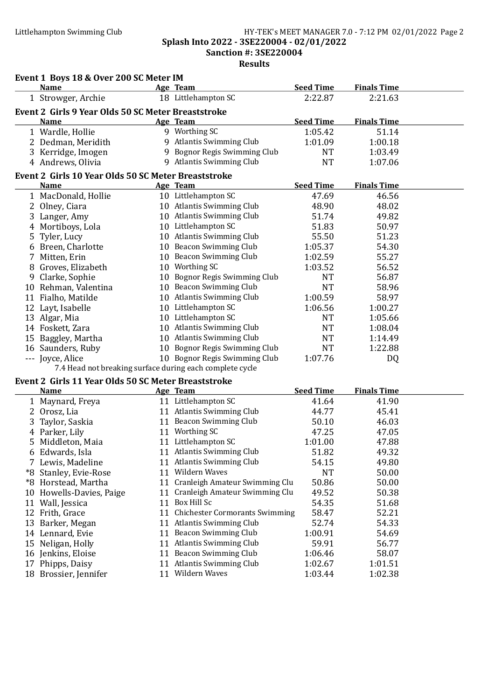### Littlehampton Swimming Club HY-TEK's MEET MANAGER 7.0 - 7:12 PM 02/01/2022 Page 2 Splash Into 2022 - 3SE220004 - 02/01/2022 Sanction #: 3SE220004

| <b>Age Team</b><br>18 Littlehampton SC<br>1 Strowger, Archie<br>2:22.87<br>2:21.63<br>Event 2 Girls 9 Year Olds 50 SC Meter Breaststroke<br><b>Seed Time</b><br><b>Finals Time</b><br>Age Team<br><b>Name</b><br>9 Worthing SC<br>1:05.42<br>1 Wardle, Hollie<br>51.14<br>9 Atlantis Swimming Club<br>2 Dedman, Meridith<br>1:01.09<br>1:00.18<br>9 Bognor Regis Swimming Club<br>3 Kerridge, Imogen<br><b>NT</b><br>1:03.49<br>9 Atlantis Swimming Club<br><b>NT</b><br>4 Andrews, Olivia<br>1:07.06<br>Event 2 Girls 10 Year Olds 50 SC Meter Breaststroke<br><b>Seed Time</b><br><b>Finals Time</b><br><b>Name</b><br>Age Team<br>10 Littlehampton SC<br>47.69<br>1 MacDonald, Hollie<br>46.56<br>10 Atlantis Swimming Club<br>2 Olney, Ciara<br>48.90<br>48.02<br>10 Atlantis Swimming Club<br>3 Langer, Amy<br>51.74<br>49.82<br>10 Littlehampton SC<br>4 Mortiboys, Lola<br>51.83<br>50.97<br>10 Atlantis Swimming Club<br>Tyler, Lucy<br>55.50<br>51.23<br>5<br>10 Beacon Swimming Club<br>6 Breen, Charlotte<br>1:05.37<br>54.30<br>10 Beacon Swimming Club<br>Mitten, Erin<br>1:02.59<br>55.27<br>7<br>10 Worthing SC<br>8 Groves, Elizabeth<br>1:03.52<br>56.52<br>10 Bognor Regis Swimming Club<br>9 Clarke, Sophie<br>56.87<br><b>NT</b><br>10 Beacon Swimming Club<br>10 Rehman, Valentina<br><b>NT</b><br>58.96<br>10 Atlantis Swimming Club<br>11 Fialho, Matilde<br>1:00.59<br>58.97<br>10 Littlehampton SC<br>1:06.56<br>12 Layt, Isabelle<br>1:00.27<br>10 Littlehampton SC<br>13 Algar, Mia<br><b>NT</b><br>1:05.66<br>10 Atlantis Swimming Club<br>14 Foskett, Zara<br><b>NT</b><br>1:08.04<br>10 Atlantis Swimming Club<br><b>NT</b><br>15 Baggley, Martha<br>1:14.49<br>16 Saunders, Ruby<br>10 Bognor Regis Swimming Club<br><b>NT</b><br>1:22.88<br>--- Joyce, Alice<br>10 Bognor Regis Swimming Club<br>1:07.76<br>DQ<br>7.4 Head not breaking surface during each complete cycle<br>Event 2 Girls 11 Year Olds 50 SC Meter Breaststroke<br><b>Seed Time</b><br><b>Finals Time</b><br>Age Team<br>Name<br>11 Littlehampton SC<br>1 Maynard, Freya<br>41.64<br>41.90<br>11 Atlantis Swimming Club<br>2 Orosz, Lia<br>44.77<br>45.41<br>11 Beacon Swimming Club<br>3 Taylor, Saskia<br>46.03<br>50.10<br>11 Worthing SC<br>4 Parker, Lily<br>47.25<br>47.05<br>11 Littlehampton SC<br>5 Middleton, Maia<br>1:01.00<br>47.88<br>11 Atlantis Swimming Club<br>51.82<br>49.32<br>6 Edwards, Isla<br>11 Atlantis Swimming Club<br>54.15<br>49.80<br>7 Lewis, Madeline<br>11 Wildern Waves<br>*8 Stanley, Evie-Rose<br><b>NT</b><br>50.00<br>11 Cranleigh Amateur Swimming Clu<br>50.86<br>50.00<br>*8 Horstead, Martha<br>11 Cranleigh Amateur Swimming Clu<br>10 Howells-Davies, Paige<br>49.52<br>50.38<br>11 Box Hill Sc<br>11 Wall, Jessica<br>54.35<br>51.68<br>11 Chichester Cormorants Swimming<br>12 Frith, Grace<br>52.21<br>58.47<br>11 Atlantis Swimming Club<br>54.33<br>13 Barker, Megan<br>52.74<br>11 Beacon Swimming Club<br>14 Lennard, Evie<br>1:00.91<br>54.69<br>11 Atlantis Swimming Club<br>15 Neligan, Holly<br>59.91<br>56.77<br>11 Beacon Swimming Club<br>58.07<br>16 Jenkins, Eloise<br>1:06.46<br>11 Atlantis Swimming Club<br>17 Phipps, Daisy<br>1:02.67<br>1:01.51<br>11 Wildern Waves<br>18 Brossier, Jennifer | Event 1 Boys 18 & Over 200 SC Meter IM |  |                  |                    |  |
|-------------------------------------------------------------------------------------------------------------------------------------------------------------------------------------------------------------------------------------------------------------------------------------------------------------------------------------------------------------------------------------------------------------------------------------------------------------------------------------------------------------------------------------------------------------------------------------------------------------------------------------------------------------------------------------------------------------------------------------------------------------------------------------------------------------------------------------------------------------------------------------------------------------------------------------------------------------------------------------------------------------------------------------------------------------------------------------------------------------------------------------------------------------------------------------------------------------------------------------------------------------------------------------------------------------------------------------------------------------------------------------------------------------------------------------------------------------------------------------------------------------------------------------------------------------------------------------------------------------------------------------------------------------------------------------------------------------------------------------------------------------------------------------------------------------------------------------------------------------------------------------------------------------------------------------------------------------------------------------------------------------------------------------------------------------------------------------------------------------------------------------------------------------------------------------------------------------------------------------------------------------------------------------------------------------------------------------------------------------------------------------------------------------------------------------------------------------------------------------------------------------------------------------------------------------------------------------------------------------------------------------------------------------------------------------------------------------------------------------------------------------------------------------------------------------------------------------------------------------------------------------------------------------------------------------------------------------------------------------------------------------------------------------------------------------------------------------------------------------------------------------------------------------------------------------------------------------------------------------------------------------------|----------------------------------------|--|------------------|--------------------|--|
|                                                                                                                                                                                                                                                                                                                                                                                                                                                                                                                                                                                                                                                                                                                                                                                                                                                                                                                                                                                                                                                                                                                                                                                                                                                                                                                                                                                                                                                                                                                                                                                                                                                                                                                                                                                                                                                                                                                                                                                                                                                                                                                                                                                                                                                                                                                                                                                                                                                                                                                                                                                                                                                                                                                                                                                                                                                                                                                                                                                                                                                                                                                                                                                                                                                                   | <b>Name</b>                            |  | <b>Seed Time</b> | <b>Finals Time</b> |  |
|                                                                                                                                                                                                                                                                                                                                                                                                                                                                                                                                                                                                                                                                                                                                                                                                                                                                                                                                                                                                                                                                                                                                                                                                                                                                                                                                                                                                                                                                                                                                                                                                                                                                                                                                                                                                                                                                                                                                                                                                                                                                                                                                                                                                                                                                                                                                                                                                                                                                                                                                                                                                                                                                                                                                                                                                                                                                                                                                                                                                                                                                                                                                                                                                                                                                   |                                        |  |                  |                    |  |
|                                                                                                                                                                                                                                                                                                                                                                                                                                                                                                                                                                                                                                                                                                                                                                                                                                                                                                                                                                                                                                                                                                                                                                                                                                                                                                                                                                                                                                                                                                                                                                                                                                                                                                                                                                                                                                                                                                                                                                                                                                                                                                                                                                                                                                                                                                                                                                                                                                                                                                                                                                                                                                                                                                                                                                                                                                                                                                                                                                                                                                                                                                                                                                                                                                                                   |                                        |  |                  |                    |  |
|                                                                                                                                                                                                                                                                                                                                                                                                                                                                                                                                                                                                                                                                                                                                                                                                                                                                                                                                                                                                                                                                                                                                                                                                                                                                                                                                                                                                                                                                                                                                                                                                                                                                                                                                                                                                                                                                                                                                                                                                                                                                                                                                                                                                                                                                                                                                                                                                                                                                                                                                                                                                                                                                                                                                                                                                                                                                                                                                                                                                                                                                                                                                                                                                                                                                   |                                        |  |                  |                    |  |
|                                                                                                                                                                                                                                                                                                                                                                                                                                                                                                                                                                                                                                                                                                                                                                                                                                                                                                                                                                                                                                                                                                                                                                                                                                                                                                                                                                                                                                                                                                                                                                                                                                                                                                                                                                                                                                                                                                                                                                                                                                                                                                                                                                                                                                                                                                                                                                                                                                                                                                                                                                                                                                                                                                                                                                                                                                                                                                                                                                                                                                                                                                                                                                                                                                                                   |                                        |  |                  |                    |  |
|                                                                                                                                                                                                                                                                                                                                                                                                                                                                                                                                                                                                                                                                                                                                                                                                                                                                                                                                                                                                                                                                                                                                                                                                                                                                                                                                                                                                                                                                                                                                                                                                                                                                                                                                                                                                                                                                                                                                                                                                                                                                                                                                                                                                                                                                                                                                                                                                                                                                                                                                                                                                                                                                                                                                                                                                                                                                                                                                                                                                                                                                                                                                                                                                                                                                   |                                        |  |                  |                    |  |
|                                                                                                                                                                                                                                                                                                                                                                                                                                                                                                                                                                                                                                                                                                                                                                                                                                                                                                                                                                                                                                                                                                                                                                                                                                                                                                                                                                                                                                                                                                                                                                                                                                                                                                                                                                                                                                                                                                                                                                                                                                                                                                                                                                                                                                                                                                                                                                                                                                                                                                                                                                                                                                                                                                                                                                                                                                                                                                                                                                                                                                                                                                                                                                                                                                                                   |                                        |  |                  |                    |  |
|                                                                                                                                                                                                                                                                                                                                                                                                                                                                                                                                                                                                                                                                                                                                                                                                                                                                                                                                                                                                                                                                                                                                                                                                                                                                                                                                                                                                                                                                                                                                                                                                                                                                                                                                                                                                                                                                                                                                                                                                                                                                                                                                                                                                                                                                                                                                                                                                                                                                                                                                                                                                                                                                                                                                                                                                                                                                                                                                                                                                                                                                                                                                                                                                                                                                   |                                        |  |                  |                    |  |
|                                                                                                                                                                                                                                                                                                                                                                                                                                                                                                                                                                                                                                                                                                                                                                                                                                                                                                                                                                                                                                                                                                                                                                                                                                                                                                                                                                                                                                                                                                                                                                                                                                                                                                                                                                                                                                                                                                                                                                                                                                                                                                                                                                                                                                                                                                                                                                                                                                                                                                                                                                                                                                                                                                                                                                                                                                                                                                                                                                                                                                                                                                                                                                                                                                                                   |                                        |  |                  |                    |  |
|                                                                                                                                                                                                                                                                                                                                                                                                                                                                                                                                                                                                                                                                                                                                                                                                                                                                                                                                                                                                                                                                                                                                                                                                                                                                                                                                                                                                                                                                                                                                                                                                                                                                                                                                                                                                                                                                                                                                                                                                                                                                                                                                                                                                                                                                                                                                                                                                                                                                                                                                                                                                                                                                                                                                                                                                                                                                                                                                                                                                                                                                                                                                                                                                                                                                   |                                        |  |                  |                    |  |
|                                                                                                                                                                                                                                                                                                                                                                                                                                                                                                                                                                                                                                                                                                                                                                                                                                                                                                                                                                                                                                                                                                                                                                                                                                                                                                                                                                                                                                                                                                                                                                                                                                                                                                                                                                                                                                                                                                                                                                                                                                                                                                                                                                                                                                                                                                                                                                                                                                                                                                                                                                                                                                                                                                                                                                                                                                                                                                                                                                                                                                                                                                                                                                                                                                                                   |                                        |  |                  |                    |  |
|                                                                                                                                                                                                                                                                                                                                                                                                                                                                                                                                                                                                                                                                                                                                                                                                                                                                                                                                                                                                                                                                                                                                                                                                                                                                                                                                                                                                                                                                                                                                                                                                                                                                                                                                                                                                                                                                                                                                                                                                                                                                                                                                                                                                                                                                                                                                                                                                                                                                                                                                                                                                                                                                                                                                                                                                                                                                                                                                                                                                                                                                                                                                                                                                                                                                   |                                        |  |                  |                    |  |
|                                                                                                                                                                                                                                                                                                                                                                                                                                                                                                                                                                                                                                                                                                                                                                                                                                                                                                                                                                                                                                                                                                                                                                                                                                                                                                                                                                                                                                                                                                                                                                                                                                                                                                                                                                                                                                                                                                                                                                                                                                                                                                                                                                                                                                                                                                                                                                                                                                                                                                                                                                                                                                                                                                                                                                                                                                                                                                                                                                                                                                                                                                                                                                                                                                                                   |                                        |  |                  |                    |  |
|                                                                                                                                                                                                                                                                                                                                                                                                                                                                                                                                                                                                                                                                                                                                                                                                                                                                                                                                                                                                                                                                                                                                                                                                                                                                                                                                                                                                                                                                                                                                                                                                                                                                                                                                                                                                                                                                                                                                                                                                                                                                                                                                                                                                                                                                                                                                                                                                                                                                                                                                                                                                                                                                                                                                                                                                                                                                                                                                                                                                                                                                                                                                                                                                                                                                   |                                        |  |                  |                    |  |
|                                                                                                                                                                                                                                                                                                                                                                                                                                                                                                                                                                                                                                                                                                                                                                                                                                                                                                                                                                                                                                                                                                                                                                                                                                                                                                                                                                                                                                                                                                                                                                                                                                                                                                                                                                                                                                                                                                                                                                                                                                                                                                                                                                                                                                                                                                                                                                                                                                                                                                                                                                                                                                                                                                                                                                                                                                                                                                                                                                                                                                                                                                                                                                                                                                                                   |                                        |  |                  |                    |  |
|                                                                                                                                                                                                                                                                                                                                                                                                                                                                                                                                                                                                                                                                                                                                                                                                                                                                                                                                                                                                                                                                                                                                                                                                                                                                                                                                                                                                                                                                                                                                                                                                                                                                                                                                                                                                                                                                                                                                                                                                                                                                                                                                                                                                                                                                                                                                                                                                                                                                                                                                                                                                                                                                                                                                                                                                                                                                                                                                                                                                                                                                                                                                                                                                                                                                   |                                        |  |                  |                    |  |
|                                                                                                                                                                                                                                                                                                                                                                                                                                                                                                                                                                                                                                                                                                                                                                                                                                                                                                                                                                                                                                                                                                                                                                                                                                                                                                                                                                                                                                                                                                                                                                                                                                                                                                                                                                                                                                                                                                                                                                                                                                                                                                                                                                                                                                                                                                                                                                                                                                                                                                                                                                                                                                                                                                                                                                                                                                                                                                                                                                                                                                                                                                                                                                                                                                                                   |                                        |  |                  |                    |  |
|                                                                                                                                                                                                                                                                                                                                                                                                                                                                                                                                                                                                                                                                                                                                                                                                                                                                                                                                                                                                                                                                                                                                                                                                                                                                                                                                                                                                                                                                                                                                                                                                                                                                                                                                                                                                                                                                                                                                                                                                                                                                                                                                                                                                                                                                                                                                                                                                                                                                                                                                                                                                                                                                                                                                                                                                                                                                                                                                                                                                                                                                                                                                                                                                                                                                   |                                        |  |                  |                    |  |
|                                                                                                                                                                                                                                                                                                                                                                                                                                                                                                                                                                                                                                                                                                                                                                                                                                                                                                                                                                                                                                                                                                                                                                                                                                                                                                                                                                                                                                                                                                                                                                                                                                                                                                                                                                                                                                                                                                                                                                                                                                                                                                                                                                                                                                                                                                                                                                                                                                                                                                                                                                                                                                                                                                                                                                                                                                                                                                                                                                                                                                                                                                                                                                                                                                                                   |                                        |  |                  |                    |  |
|                                                                                                                                                                                                                                                                                                                                                                                                                                                                                                                                                                                                                                                                                                                                                                                                                                                                                                                                                                                                                                                                                                                                                                                                                                                                                                                                                                                                                                                                                                                                                                                                                                                                                                                                                                                                                                                                                                                                                                                                                                                                                                                                                                                                                                                                                                                                                                                                                                                                                                                                                                                                                                                                                                                                                                                                                                                                                                                                                                                                                                                                                                                                                                                                                                                                   |                                        |  |                  |                    |  |
|                                                                                                                                                                                                                                                                                                                                                                                                                                                                                                                                                                                                                                                                                                                                                                                                                                                                                                                                                                                                                                                                                                                                                                                                                                                                                                                                                                                                                                                                                                                                                                                                                                                                                                                                                                                                                                                                                                                                                                                                                                                                                                                                                                                                                                                                                                                                                                                                                                                                                                                                                                                                                                                                                                                                                                                                                                                                                                                                                                                                                                                                                                                                                                                                                                                                   |                                        |  |                  |                    |  |
|                                                                                                                                                                                                                                                                                                                                                                                                                                                                                                                                                                                                                                                                                                                                                                                                                                                                                                                                                                                                                                                                                                                                                                                                                                                                                                                                                                                                                                                                                                                                                                                                                                                                                                                                                                                                                                                                                                                                                                                                                                                                                                                                                                                                                                                                                                                                                                                                                                                                                                                                                                                                                                                                                                                                                                                                                                                                                                                                                                                                                                                                                                                                                                                                                                                                   |                                        |  |                  |                    |  |
|                                                                                                                                                                                                                                                                                                                                                                                                                                                                                                                                                                                                                                                                                                                                                                                                                                                                                                                                                                                                                                                                                                                                                                                                                                                                                                                                                                                                                                                                                                                                                                                                                                                                                                                                                                                                                                                                                                                                                                                                                                                                                                                                                                                                                                                                                                                                                                                                                                                                                                                                                                                                                                                                                                                                                                                                                                                                                                                                                                                                                                                                                                                                                                                                                                                                   |                                        |  |                  |                    |  |
|                                                                                                                                                                                                                                                                                                                                                                                                                                                                                                                                                                                                                                                                                                                                                                                                                                                                                                                                                                                                                                                                                                                                                                                                                                                                                                                                                                                                                                                                                                                                                                                                                                                                                                                                                                                                                                                                                                                                                                                                                                                                                                                                                                                                                                                                                                                                                                                                                                                                                                                                                                                                                                                                                                                                                                                                                                                                                                                                                                                                                                                                                                                                                                                                                                                                   |                                        |  |                  |                    |  |
|                                                                                                                                                                                                                                                                                                                                                                                                                                                                                                                                                                                                                                                                                                                                                                                                                                                                                                                                                                                                                                                                                                                                                                                                                                                                                                                                                                                                                                                                                                                                                                                                                                                                                                                                                                                                                                                                                                                                                                                                                                                                                                                                                                                                                                                                                                                                                                                                                                                                                                                                                                                                                                                                                                                                                                                                                                                                                                                                                                                                                                                                                                                                                                                                                                                                   |                                        |  |                  |                    |  |
|                                                                                                                                                                                                                                                                                                                                                                                                                                                                                                                                                                                                                                                                                                                                                                                                                                                                                                                                                                                                                                                                                                                                                                                                                                                                                                                                                                                                                                                                                                                                                                                                                                                                                                                                                                                                                                                                                                                                                                                                                                                                                                                                                                                                                                                                                                                                                                                                                                                                                                                                                                                                                                                                                                                                                                                                                                                                                                                                                                                                                                                                                                                                                                                                                                                                   |                                        |  |                  |                    |  |
|                                                                                                                                                                                                                                                                                                                                                                                                                                                                                                                                                                                                                                                                                                                                                                                                                                                                                                                                                                                                                                                                                                                                                                                                                                                                                                                                                                                                                                                                                                                                                                                                                                                                                                                                                                                                                                                                                                                                                                                                                                                                                                                                                                                                                                                                                                                                                                                                                                                                                                                                                                                                                                                                                                                                                                                                                                                                                                                                                                                                                                                                                                                                                                                                                                                                   |                                        |  |                  |                    |  |
|                                                                                                                                                                                                                                                                                                                                                                                                                                                                                                                                                                                                                                                                                                                                                                                                                                                                                                                                                                                                                                                                                                                                                                                                                                                                                                                                                                                                                                                                                                                                                                                                                                                                                                                                                                                                                                                                                                                                                                                                                                                                                                                                                                                                                                                                                                                                                                                                                                                                                                                                                                                                                                                                                                                                                                                                                                                                                                                                                                                                                                                                                                                                                                                                                                                                   |                                        |  |                  |                    |  |
|                                                                                                                                                                                                                                                                                                                                                                                                                                                                                                                                                                                                                                                                                                                                                                                                                                                                                                                                                                                                                                                                                                                                                                                                                                                                                                                                                                                                                                                                                                                                                                                                                                                                                                                                                                                                                                                                                                                                                                                                                                                                                                                                                                                                                                                                                                                                                                                                                                                                                                                                                                                                                                                                                                                                                                                                                                                                                                                                                                                                                                                                                                                                                                                                                                                                   |                                        |  |                  |                    |  |
|                                                                                                                                                                                                                                                                                                                                                                                                                                                                                                                                                                                                                                                                                                                                                                                                                                                                                                                                                                                                                                                                                                                                                                                                                                                                                                                                                                                                                                                                                                                                                                                                                                                                                                                                                                                                                                                                                                                                                                                                                                                                                                                                                                                                                                                                                                                                                                                                                                                                                                                                                                                                                                                                                                                                                                                                                                                                                                                                                                                                                                                                                                                                                                                                                                                                   |                                        |  |                  |                    |  |
|                                                                                                                                                                                                                                                                                                                                                                                                                                                                                                                                                                                                                                                                                                                                                                                                                                                                                                                                                                                                                                                                                                                                                                                                                                                                                                                                                                                                                                                                                                                                                                                                                                                                                                                                                                                                                                                                                                                                                                                                                                                                                                                                                                                                                                                                                                                                                                                                                                                                                                                                                                                                                                                                                                                                                                                                                                                                                                                                                                                                                                                                                                                                                                                                                                                                   |                                        |  |                  |                    |  |
|                                                                                                                                                                                                                                                                                                                                                                                                                                                                                                                                                                                                                                                                                                                                                                                                                                                                                                                                                                                                                                                                                                                                                                                                                                                                                                                                                                                                                                                                                                                                                                                                                                                                                                                                                                                                                                                                                                                                                                                                                                                                                                                                                                                                                                                                                                                                                                                                                                                                                                                                                                                                                                                                                                                                                                                                                                                                                                                                                                                                                                                                                                                                                                                                                                                                   |                                        |  |                  |                    |  |
|                                                                                                                                                                                                                                                                                                                                                                                                                                                                                                                                                                                                                                                                                                                                                                                                                                                                                                                                                                                                                                                                                                                                                                                                                                                                                                                                                                                                                                                                                                                                                                                                                                                                                                                                                                                                                                                                                                                                                                                                                                                                                                                                                                                                                                                                                                                                                                                                                                                                                                                                                                                                                                                                                                                                                                                                                                                                                                                                                                                                                                                                                                                                                                                                                                                                   |                                        |  |                  |                    |  |
|                                                                                                                                                                                                                                                                                                                                                                                                                                                                                                                                                                                                                                                                                                                                                                                                                                                                                                                                                                                                                                                                                                                                                                                                                                                                                                                                                                                                                                                                                                                                                                                                                                                                                                                                                                                                                                                                                                                                                                                                                                                                                                                                                                                                                                                                                                                                                                                                                                                                                                                                                                                                                                                                                                                                                                                                                                                                                                                                                                                                                                                                                                                                                                                                                                                                   |                                        |  |                  |                    |  |
|                                                                                                                                                                                                                                                                                                                                                                                                                                                                                                                                                                                                                                                                                                                                                                                                                                                                                                                                                                                                                                                                                                                                                                                                                                                                                                                                                                                                                                                                                                                                                                                                                                                                                                                                                                                                                                                                                                                                                                                                                                                                                                                                                                                                                                                                                                                                                                                                                                                                                                                                                                                                                                                                                                                                                                                                                                                                                                                                                                                                                                                                                                                                                                                                                                                                   |                                        |  |                  |                    |  |
|                                                                                                                                                                                                                                                                                                                                                                                                                                                                                                                                                                                                                                                                                                                                                                                                                                                                                                                                                                                                                                                                                                                                                                                                                                                                                                                                                                                                                                                                                                                                                                                                                                                                                                                                                                                                                                                                                                                                                                                                                                                                                                                                                                                                                                                                                                                                                                                                                                                                                                                                                                                                                                                                                                                                                                                                                                                                                                                                                                                                                                                                                                                                                                                                                                                                   |                                        |  |                  |                    |  |
|                                                                                                                                                                                                                                                                                                                                                                                                                                                                                                                                                                                                                                                                                                                                                                                                                                                                                                                                                                                                                                                                                                                                                                                                                                                                                                                                                                                                                                                                                                                                                                                                                                                                                                                                                                                                                                                                                                                                                                                                                                                                                                                                                                                                                                                                                                                                                                                                                                                                                                                                                                                                                                                                                                                                                                                                                                                                                                                                                                                                                                                                                                                                                                                                                                                                   |                                        |  |                  |                    |  |
|                                                                                                                                                                                                                                                                                                                                                                                                                                                                                                                                                                                                                                                                                                                                                                                                                                                                                                                                                                                                                                                                                                                                                                                                                                                                                                                                                                                                                                                                                                                                                                                                                                                                                                                                                                                                                                                                                                                                                                                                                                                                                                                                                                                                                                                                                                                                                                                                                                                                                                                                                                                                                                                                                                                                                                                                                                                                                                                                                                                                                                                                                                                                                                                                                                                                   |                                        |  |                  |                    |  |
|                                                                                                                                                                                                                                                                                                                                                                                                                                                                                                                                                                                                                                                                                                                                                                                                                                                                                                                                                                                                                                                                                                                                                                                                                                                                                                                                                                                                                                                                                                                                                                                                                                                                                                                                                                                                                                                                                                                                                                                                                                                                                                                                                                                                                                                                                                                                                                                                                                                                                                                                                                                                                                                                                                                                                                                                                                                                                                                                                                                                                                                                                                                                                                                                                                                                   |                                        |  |                  |                    |  |
|                                                                                                                                                                                                                                                                                                                                                                                                                                                                                                                                                                                                                                                                                                                                                                                                                                                                                                                                                                                                                                                                                                                                                                                                                                                                                                                                                                                                                                                                                                                                                                                                                                                                                                                                                                                                                                                                                                                                                                                                                                                                                                                                                                                                                                                                                                                                                                                                                                                                                                                                                                                                                                                                                                                                                                                                                                                                                                                                                                                                                                                                                                                                                                                                                                                                   |                                        |  |                  |                    |  |
|                                                                                                                                                                                                                                                                                                                                                                                                                                                                                                                                                                                                                                                                                                                                                                                                                                                                                                                                                                                                                                                                                                                                                                                                                                                                                                                                                                                                                                                                                                                                                                                                                                                                                                                                                                                                                                                                                                                                                                                                                                                                                                                                                                                                                                                                                                                                                                                                                                                                                                                                                                                                                                                                                                                                                                                                                                                                                                                                                                                                                                                                                                                                                                                                                                                                   |                                        |  |                  |                    |  |
|                                                                                                                                                                                                                                                                                                                                                                                                                                                                                                                                                                                                                                                                                                                                                                                                                                                                                                                                                                                                                                                                                                                                                                                                                                                                                                                                                                                                                                                                                                                                                                                                                                                                                                                                                                                                                                                                                                                                                                                                                                                                                                                                                                                                                                                                                                                                                                                                                                                                                                                                                                                                                                                                                                                                                                                                                                                                                                                                                                                                                                                                                                                                                                                                                                                                   |                                        |  |                  |                    |  |
|                                                                                                                                                                                                                                                                                                                                                                                                                                                                                                                                                                                                                                                                                                                                                                                                                                                                                                                                                                                                                                                                                                                                                                                                                                                                                                                                                                                                                                                                                                                                                                                                                                                                                                                                                                                                                                                                                                                                                                                                                                                                                                                                                                                                                                                                                                                                                                                                                                                                                                                                                                                                                                                                                                                                                                                                                                                                                                                                                                                                                                                                                                                                                                                                                                                                   |                                        |  |                  |                    |  |
|                                                                                                                                                                                                                                                                                                                                                                                                                                                                                                                                                                                                                                                                                                                                                                                                                                                                                                                                                                                                                                                                                                                                                                                                                                                                                                                                                                                                                                                                                                                                                                                                                                                                                                                                                                                                                                                                                                                                                                                                                                                                                                                                                                                                                                                                                                                                                                                                                                                                                                                                                                                                                                                                                                                                                                                                                                                                                                                                                                                                                                                                                                                                                                                                                                                                   |                                        |  |                  |                    |  |
|                                                                                                                                                                                                                                                                                                                                                                                                                                                                                                                                                                                                                                                                                                                                                                                                                                                                                                                                                                                                                                                                                                                                                                                                                                                                                                                                                                                                                                                                                                                                                                                                                                                                                                                                                                                                                                                                                                                                                                                                                                                                                                                                                                                                                                                                                                                                                                                                                                                                                                                                                                                                                                                                                                                                                                                                                                                                                                                                                                                                                                                                                                                                                                                                                                                                   |                                        |  |                  |                    |  |
|                                                                                                                                                                                                                                                                                                                                                                                                                                                                                                                                                                                                                                                                                                                                                                                                                                                                                                                                                                                                                                                                                                                                                                                                                                                                                                                                                                                                                                                                                                                                                                                                                                                                                                                                                                                                                                                                                                                                                                                                                                                                                                                                                                                                                                                                                                                                                                                                                                                                                                                                                                                                                                                                                                                                                                                                                                                                                                                                                                                                                                                                                                                                                                                                                                                                   |                                        |  |                  |                    |  |
|                                                                                                                                                                                                                                                                                                                                                                                                                                                                                                                                                                                                                                                                                                                                                                                                                                                                                                                                                                                                                                                                                                                                                                                                                                                                                                                                                                                                                                                                                                                                                                                                                                                                                                                                                                                                                                                                                                                                                                                                                                                                                                                                                                                                                                                                                                                                                                                                                                                                                                                                                                                                                                                                                                                                                                                                                                                                                                                                                                                                                                                                                                                                                                                                                                                                   |                                        |  |                  |                    |  |
|                                                                                                                                                                                                                                                                                                                                                                                                                                                                                                                                                                                                                                                                                                                                                                                                                                                                                                                                                                                                                                                                                                                                                                                                                                                                                                                                                                                                                                                                                                                                                                                                                                                                                                                                                                                                                                                                                                                                                                                                                                                                                                                                                                                                                                                                                                                                                                                                                                                                                                                                                                                                                                                                                                                                                                                                                                                                                                                                                                                                                                                                                                                                                                                                                                                                   |                                        |  | 1:03.44          | 1:02.38            |  |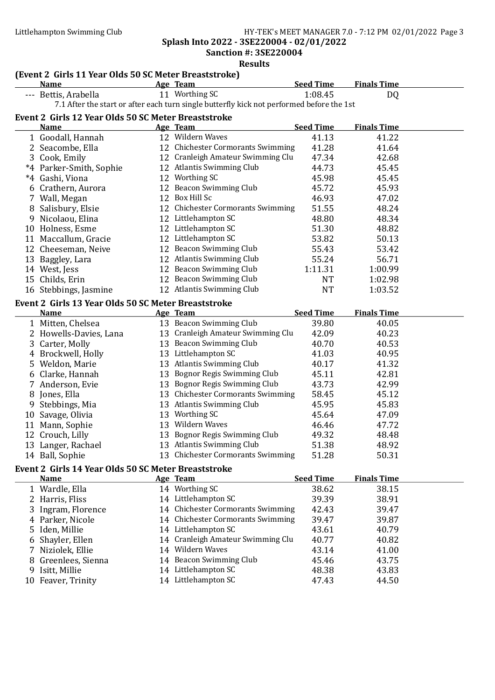Splash Into 2022 - 3SE220004 - 02/01/2022 Sanction #: 3SE220004

| <b>Results</b> |                                                       |  |                                                                                           |                  |                    |  |
|----------------|-------------------------------------------------------|--|-------------------------------------------------------------------------------------------|------------------|--------------------|--|
|                | (Event 2 Girls 11 Year Olds 50 SC Meter Breaststroke) |  |                                                                                           |                  |                    |  |
|                | <b>Name</b>                                           |  | Age Team                                                                                  | <b>Seed Time</b> | <b>Finals Time</b> |  |
|                | --- Bettis, Arabella                                  |  | 11 Worthing SC                                                                            | 1:08.45          | DQ                 |  |
|                |                                                       |  | 7.1 After the start or after each turn single butterfly kick not performed before the 1st |                  |                    |  |
|                | Event 2 Girls 12 Year Olds 50 SC Meter Breaststroke   |  |                                                                                           |                  |                    |  |
|                | <b>Name</b>                                           |  | Age Team                                                                                  | <b>Seed Time</b> | <b>Finals Time</b> |  |
|                | 1 Goodall, Hannah                                     |  | 12 Wildern Waves                                                                          | 41.13            | 41.22              |  |
|                | 2 Seacombe, Ella                                      |  | 12 Chichester Cormorants Swimming                                                         | 41.28            | 41.64              |  |
|                | 3 Cook, Emily                                         |  | 12 Cranleigh Amateur Swimming Clu                                                         | 47.34            | 42.68              |  |
|                | *4 Parker-Smith, Sophie                               |  | 12 Atlantis Swimming Club                                                                 | 44.73            | 45.45              |  |
|                | *4 Gashi, Viona                                       |  | 12 Worthing SC                                                                            | 45.98            | 45.45              |  |
|                | 6 Crathern, Aurora                                    |  | 12 Beacon Swimming Club                                                                   | 45.72            | 45.93              |  |
|                | 7 Wall, Megan                                         |  | 12 Box Hill Sc                                                                            | 46.93            | 47.02              |  |
|                | 8 Salisbury, Elsie                                    |  | 12 Chichester Cormorants Swimming                                                         | 51.55            | 48.24              |  |
|                | 9 Nicolaou, Elina                                     |  | 12 Littlehampton SC                                                                       | 48.80            | 48.34              |  |
|                | 10 Holness, Esme                                      |  | 12 Littlehampton SC                                                                       | 51.30            | 48.82              |  |
|                | 11 Maccallum, Gracie                                  |  | 12 Littlehampton SC                                                                       | 53.82            | 50.13              |  |
|                | 12 Cheeseman, Neive                                   |  | 12 Beacon Swimming Club                                                                   | 55.43            | 53.42              |  |
|                | 13 Baggley, Lara                                      |  | 12 Atlantis Swimming Club                                                                 | 55.24            | 56.71              |  |
|                | 14 West, Jess                                         |  | 12 Beacon Swimming Club                                                                   | 1:11.31          | 1:00.99            |  |
|                | 15 Childs, Erin                                       |  | 12 Beacon Swimming Club                                                                   | <b>NT</b>        | 1:02.98            |  |
|                | 16 Stebbings, Jasmine                                 |  | 12 Atlantis Swimming Club                                                                 | <b>NT</b>        | 1:03.52            |  |
|                | Event 2 Girls 13 Year Olds 50 SC Meter Breaststroke   |  |                                                                                           |                  |                    |  |
|                | <b>Name</b>                                           |  | Age Team                                                                                  | <b>Seed Time</b> | <b>Finals Time</b> |  |
|                | 1 Mitten, Chelsea                                     |  | 13 Beacon Swimming Club                                                                   | 39.80            | 40.05              |  |
|                | 2 Howells-Davies, Lana                                |  | 13 Cranleigh Amateur Swimming Clu                                                         | 42.09            | 40.23              |  |
|                | 3 Carter, Molly                                       |  | 13 Beacon Swimming Club                                                                   | 40.70            | 40.53              |  |
|                | 4 Brockwell, Holly                                    |  | 13 Littlehampton SC                                                                       | 41.03            | 40.95              |  |
|                | 5 Weldon, Marie                                       |  | 13 Atlantis Swimming Club                                                                 | 40.17            | 41.32              |  |
|                | 6 Clarke, Hannah                                      |  | 13 Bognor Regis Swimming Club                                                             | 45.11            | 42.81              |  |
|                | 7 Anderson, Evie                                      |  | 13 Bognor Regis Swimming Club                                                             | 43.73            | 42.99              |  |
|                | 8 Jones, Ella                                         |  | 13 Chichester Cormorants Swimming                                                         | 58.45            | 45.12              |  |
|                | Stebbings, Mia                                        |  | 13 Atlantis Swimming Club                                                                 | 45.95            | 45.83              |  |
|                | 10 Savage, Olivia                                     |  | 13 Worthing SC                                                                            | 45.64            | 47.09              |  |
|                | 11 Mann, Sophie                                       |  | 13 Wildern Waves                                                                          | 46.46            | 47.72              |  |
|                | 12 Crouch, Lilly                                      |  | 13 Bognor Regis Swimming Club                                                             | 49.32            | 48.48              |  |
|                | 13 Langer, Rachael                                    |  | 13 Atlantis Swimming Club                                                                 | 51.38            | 48.92              |  |
|                | 14 Ball, Sophie                                       |  | 13 Chichester Cormorants Swimming                                                         | 51.28            | 50.31              |  |
|                | Event 2 Girls 14 Year Olds 50 SC Meter Breaststroke   |  |                                                                                           |                  |                    |  |
|                | <b>Name</b>                                           |  | Age Team                                                                                  | <b>Seed Time</b> | <b>Finals Time</b> |  |
|                | 1 Wardle, Ella                                        |  | 14 Worthing SC                                                                            | 38.62            | 38.15              |  |
|                | 2 Harris, Fliss                                       |  | 14 Littlehampton SC                                                                       | 39.39            | 38.91              |  |
|                | Ingram, Florence                                      |  | 14 Chichester Cormorants Swimming                                                         | 42.43            | 39.47              |  |
|                | 4 Parker, Nicole                                      |  | 14 Chichester Cormorants Swimming                                                         | 39.47            | 39.87              |  |
|                | 5 Iden, Millie                                        |  | 14 Littlehampton SC                                                                       | 43.61            | 40.79              |  |
|                | 6 Shayler, Ellen                                      |  | 14 Cranleigh Amateur Swimming Clu                                                         | 40.77            | 40.82              |  |
|                | 7 Niziolek, Ellie                                     |  | 14 Wildern Waves                                                                          | 43.14            | 41.00              |  |
| 8              | Greenlees, Sienna                                     |  | 14 Beacon Swimming Club                                                                   | 45.46            | 43.75              |  |
| 9              | Isitt, Millie                                         |  | 14 Littlehampton SC                                                                       | 48.38            | 43.83              |  |
|                | 10 Feaver, Trinity                                    |  | 14 Littlehampton SC                                                                       | 47.43            | 44.50              |  |
|                |                                                       |  |                                                                                           |                  |                    |  |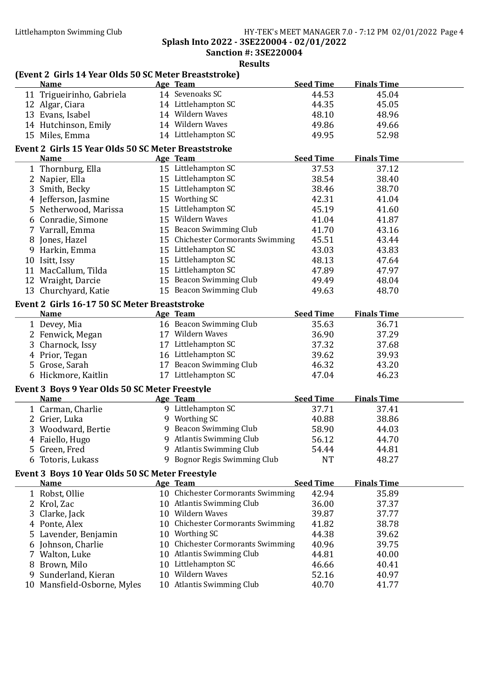Splash Into 2022 - 3SE220004 - 02/01/2022

Sanction #: 3SE220004 Results

|   | (Event 2 Girls 14 Year Olds 50 SC Meter Breaststroke) |                                                     |                  |                    |
|---|-------------------------------------------------------|-----------------------------------------------------|------------------|--------------------|
|   | <b>Name</b>                                           | Age Team                                            | <b>Seed Time</b> | <b>Finals Time</b> |
|   | 11 Trigueirinho, Gabriela                             | 14 Sevenoaks SC                                     | 44.53            | 45.04              |
|   | 12 Algar, Ciara                                       | 14 Littlehampton SC                                 | 44.35            | 45.05              |
|   | 13 Evans, Isabel                                      | 14 Wildern Waves                                    | 48.10            | 48.96              |
|   | 14 Hutchinson, Emily                                  | 14 Wildern Waves                                    | 49.86            | 49.66              |
|   | 15 Miles, Emma                                        | 14 Littlehampton SC                                 | 49.95            | 52.98              |
|   | Event 2 Girls 15 Year Olds 50 SC Meter Breaststroke   |                                                     |                  |                    |
|   | <b>Name</b>                                           | Age Team                                            | <b>Seed Time</b> | <b>Finals Time</b> |
|   | 1 Thornburg, Ella                                     | 15 Littlehampton SC                                 | 37.53            | 37.12              |
|   | 2 Napier, Ella                                        | 15 Littlehampton SC                                 | 38.54            | 38.40              |
|   | 3 Smith, Becky                                        | 15 Littlehampton SC                                 | 38.46            | 38.70              |
|   | 4 Jefferson, Jasmine                                  | 15 Worthing SC                                      | 42.31            | 41.04              |
|   | 5 Netherwood, Marissa                                 | 15 Littlehampton SC                                 | 45.19            | 41.60              |
|   | 6 Conradie, Simone                                    | 15 Wildern Waves                                    | 41.04            | 41.87              |
|   | 7 Varrall, Emma                                       | 15 Beacon Swimming Club                             | 41.70            | 43.16              |
|   | 8 Jones, Hazel                                        | 15 Chichester Cormorants Swimming                   | 45.51            | 43.44              |
|   | 9 Harkin, Emma                                        | 15 Littlehampton SC                                 | 43.03            | 43.83              |
|   | 10 Isitt, Issy                                        | 15 Littlehampton SC                                 | 48.13            | 47.64              |
|   | 11 MacCallum, Tilda                                   | 15 Littlehampton SC                                 | 47.89            | 47.97              |
|   | 12 Wraight, Darcie                                    | 15 Beacon Swimming Club                             | 49.49            | 48.04              |
|   | 13 Churchyard, Katie                                  | 15 Beacon Swimming Club                             | 49.63            | 48.70              |
|   | Event 2 Girls 16-17 50 SC Meter Breaststroke          |                                                     |                  |                    |
|   | <b>Name</b>                                           | Age Team                                            | <b>Seed Time</b> | <b>Finals Time</b> |
|   | 1 Devey, Mia                                          | 16 Beacon Swimming Club                             | 35.63            | 36.71              |
|   | 2 Fenwick, Megan                                      | 17 Wildern Waves                                    | 36.90            | 37.29              |
|   | 3 Charnock, Issy                                      | 17 Littlehampton SC                                 | 37.32            | 37.68              |
|   | 4 Prior, Tegan                                        | 16 Littlehampton SC                                 | 39.62            | 39.93              |
|   | 5 Grose, Sarah                                        | 17 Beacon Swimming Club                             | 46.32            | 43.20              |
|   | 6 Hickmore, Kaitlin                                   | 17 Littlehampton SC                                 | 47.04            | 46.23              |
|   | Event 3 Boys 9 Year Olds 50 SC Meter Freestyle        |                                                     |                  |                    |
|   | <b>Name</b>                                           | Age Team                                            | <b>Seed Time</b> | <b>Finals Time</b> |
|   | 1 Carman, Charlie                                     | 9 Littlehampton SC                                  | 37.71            | 37.41              |
|   | 2 Grier, Luka                                         | 9 Worthing SC                                       | 40.88            | 38.86              |
|   | 3 Woodward, Bertie                                    | 9 Beacon Swimming Club                              | 58.90            | 44.03              |
|   | 4 Faiello, Hugo                                       | 9 Atlantis Swimming Club                            | 56.12            | 44.70              |
|   | 5 Green, Fred                                         | 9 Atlantis Swimming Club                            | 54.44            | 44.81              |
|   | 6 Totoris, Lukass                                     | 9 Bognor Regis Swimming Club                        | <b>NT</b>        | 48.27              |
|   |                                                       |                                                     |                  |                    |
|   | Event 3 Boys 10 Year Olds 50 SC Meter Freestyle       |                                                     |                  |                    |
|   | <b>Name</b>                                           | Age Team                                            | <b>Seed Time</b> | <b>Finals Time</b> |
|   | 1 Robst, Ollie                                        | 10 Chichester Cormorants Swimming                   | 42.94            | 35.89              |
|   | 2 Krol, Zac                                           | 10 Atlantis Swimming Club<br>10 Wildern Waves       | 36.00            | 37.37              |
|   | 3 Clarke, Jack                                        |                                                     | 39.87            | 37.77              |
|   | 4 Ponte, Alex                                         | 10 Chichester Cormorants Swimming                   | 41.82            | 38.78              |
|   | 5 Lavender, Benjamin                                  | 10 Worthing SC<br>10 Chichester Cormorants Swimming | 44.38            | 39.62              |
|   | 6 Johnson, Charlie                                    | 10 Atlantis Swimming Club                           | 40.96            | 39.75              |
|   | 7 Walton, Luke                                        |                                                     | 44.81            | 40.00              |
|   | 8 Brown, Milo                                         | 10 Littlehampton SC<br>10 Wildern Waves             | 46.66            | 40.41              |
| 9 | Sunderland, Kieran<br>10 Mansfield-Osborne, Myles     | 10 Atlantis Swimming Club                           | 52.16<br>40.70   | 40.97<br>41.77     |
|   |                                                       |                                                     |                  |                    |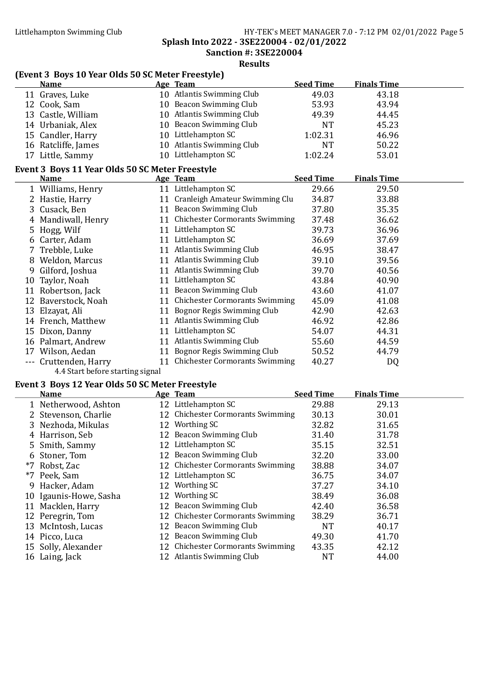#### Littlehampton Swimming Club HY-TEK's MEET MANAGER 7.0 - 7:12 PM 02/01/2022 Page 5 Splash Into 2022 - 3SE220004 - 02/01/2022

Sanction #: 3SE220004

Results

#### (Event 3 Boys 10 Year Olds 50 SC Meter Freestyle)

|                                                 | Name                |    | <b>Age Team</b>                       | <b>Seed Time</b> | <b>Finals Time</b> |  |
|-------------------------------------------------|---------------------|----|---------------------------------------|------------------|--------------------|--|
|                                                 | 11 Graves, Luke     |    | 10 Atlantis Swimming Club             | 49.03            | 43.18              |  |
|                                                 | 12 Cook, Sam        | 10 | Beacon Swimming Club                  | 53.93            | 43.94              |  |
|                                                 | 13 Castle, William  | 10 | <b>Atlantis Swimming Club</b>         | 49.39            | 44.45              |  |
|                                                 | 14 Urbaniak, Alex   |    | 10 Beacon Swimming Club               | <b>NT</b>        | 45.23              |  |
|                                                 | 15 Candler, Harry   |    | 10 Littlehampton SC                   | 1:02.31          | 46.96              |  |
|                                                 | 16 Ratcliffe, James |    | 10 Atlantis Swimming Club             | <b>NT</b>        | 50.22              |  |
|                                                 | 17 Little, Sammy    |    | 10 Littlehampton SC                   | 1:02.24          | 53.01              |  |
| Event 3 Boys 11 Year Olds 50 SC Meter Freestyle |                     |    |                                       |                  |                    |  |
|                                                 |                     |    |                                       |                  |                    |  |
|                                                 | <b>Name</b>         |    | <b>Age Team</b>                       | <b>Seed Time</b> | <b>Finals Time</b> |  |
|                                                 | 1 Williams, Henry   | 11 | Littlehampton SC                      | 29.66            | 29.50              |  |
|                                                 | 2 Hastie, Harry     | 11 | Cranleigh Amateur Swimming Clu        | 34.87            | 33.88              |  |
|                                                 | 3 Cusack, Ben       | 11 | Beacon Swimming Club                  | 37.80            | 35.35              |  |
|                                                 | Mandiwall, Henry    | 11 | <b>Chichester Cormorants Swimming</b> | 37.48            | 36.62              |  |
|                                                 | 5 Hogg, Wilf        | 11 | Littlehampton SC                      | 39.73            | 36.96              |  |
|                                                 | 6 Carter, Adam      | 11 | Littlehampton SC                      | 36.69            | 37.69              |  |
|                                                 | 7 Trebble, Luke     | 11 | <b>Atlantis Swimming Club</b>         | 46.95            | 38.47              |  |

11 Littlehampton SC 43.84 40.90

9 Gilford, Joshua 11 Atlantis Swimming Club 39.70 40.56<br>10 Taylor, Noah 11 Littlehampton SC 43.84 40.90

11 Robertson, Jack 11 Beacon Swimming Club 43.60 41.07 12 Baverstock, Noah 11 Chichester Cormorants Swimming 45.09 41.08 13 Elzayat, Ali 11 Bognor Regis Swimming Club 42.90 42.63 14 French, Matthew 11 Atlantis Swimming Club 46.92 42.86 15 Dixon, Danny 11 Littlehampton SC 54.07 44.31<br>16 Palmart, Andrew 11 Atlantis Swimming Club 55.60 44.59

17 Wilson, Aedan 11 Bognor Regis Swimming Club 50.52 44.79 --- Cruttenden, Harry 11 Chichester Cormorants Swimming 40.27 DQ

### Event 3 Boys 12 Year Olds 50 SC Meter Freestyle

4.4 Start before starting signal

| <b>Name</b>            | Age Team                          | <b>Seed Time</b> | <b>Finals Time</b> |
|------------------------|-----------------------------------|------------------|--------------------|
| 1 Netherwood, Ashton   | 12 Littlehampton SC               | 29.88            | 29.13              |
| 2 Stevenson, Charlie   | 12 Chichester Cormorants Swimming | 30.13            | 30.01              |
| 3 Nezhoda, Mikulas     | 12 Worthing SC                    | 32.82            | 31.65              |
| 4 Harrison, Seb        | 12 Beacon Swimming Club           | 31.40            | 31.78              |
| 5 Smith, Sammy         | 12 Littlehampton SC               | 35.15            | 32.51              |
| 6 Stoner, Tom          | 12 Beacon Swimming Club           | 32.20            | 33.00              |
| *7 Robst, Zac          | 12 Chichester Cormorants Swimming | 38.88            | 34.07              |
| *7 Peek, Sam           | 12 Littlehampton SC               | 36.75            | 34.07              |
| 9 Hacker, Adam         | 12 Worthing SC                    | 37.27            | 34.10              |
| 10 Igaunis-Howe, Sasha | 12 Worthing SC                    | 38.49            | 36.08              |
| 11 Macklen, Harry      | 12 Beacon Swimming Club           | 42.40            | 36.58              |
| 12 Peregrin, Tom       | 12 Chichester Cormorants Swimming | 38.29            | 36.71              |
| 13 McIntosh, Lucas     | 12 Beacon Swimming Club           | NT               | 40.17              |
| 14 Picco, Luca         | 12 Beacon Swimming Club           | 49.30            | 41.70              |
| 15 Solly, Alexander    | 12 Chichester Cormorants Swimming | 43.35            | 42.12              |
| 16 Laing, Jack         | 12 Atlantis Swimming Club         | <b>NT</b>        | 44.00              |

11 Atlantis Swimming Club 55.60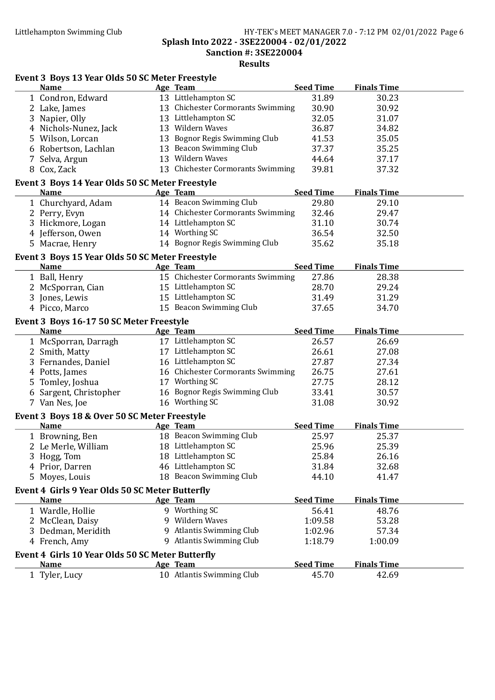#### Littlehampton Swimming Club **HY-TEK's MEET MANAGER 7.0 - 7:12 PM 02/01/2022** Page 6 Splash Into 2022 - 3SE220004 - 02/01/2022 Sanction #: 3SE220004

Results

### Event 3 Boys 13 Year Olds 50 SC Meter Freestyle

| <b>Name</b>                                                    | Age Team                          | <b>Seed Time</b> | <b>Finals Time</b> |  |
|----------------------------------------------------------------|-----------------------------------|------------------|--------------------|--|
| 1 Condron, Edward                                              | 13 Littlehampton SC               | 31.89            | 30.23              |  |
| 2 Lake, James                                                  | 13 Chichester Cormorants Swimming | 30.90            | 30.92              |  |
| 3 Napier, Olly                                                 | 13 Littlehampton SC               | 32.05            | 31.07              |  |
| 4 Nichols-Nunez, Jack                                          | 13 Wildern Waves                  | 36.87            | 34.82              |  |
| 5 Wilson, Lorcan                                               | 13 Bognor Regis Swimming Club     | 41.53            | 35.05              |  |
| 6 Robertson, Lachlan                                           | 13 Beacon Swimming Club           | 37.37            | 35.25              |  |
| 7 Selva, Argun                                                 | 13 Wildern Waves                  | 44.64            | 37.17              |  |
| 8 Cox, Zack                                                    | 13 Chichester Cormorants Swimming | 39.81            | 37.32              |  |
|                                                                |                                   |                  |                    |  |
| Event 3 Boys 14 Year Olds 50 SC Meter Freestyle<br><b>Name</b> | Age Team                          | <b>Seed Time</b> | <b>Finals Time</b> |  |
|                                                                | 14 Beacon Swimming Club           |                  | 29.10              |  |
| 1 Churchyard, Adam                                             |                                   | 29.80            |                    |  |
| 2 Perry, Evyn                                                  | 14 Chichester Cormorants Swimming | 32.46            | 29.47              |  |
| 3 Hickmore, Logan                                              | 14 Littlehampton SC               | 31.10            | 30.74              |  |
| 4 Jefferson, Owen                                              | 14 Worthing SC                    | 36.54            | 32.50              |  |
| 5 Macrae, Henry                                                | 14 Bognor Regis Swimming Club     | 35.62            | 35.18              |  |
| Event 3 Boys 15 Year Olds 50 SC Meter Freestyle                |                                   |                  |                    |  |
| Name                                                           | Age Team                          | <b>Seed Time</b> | <b>Finals Time</b> |  |
| 1 Ball, Henry                                                  | 15 Chichester Cormorants Swimming | 27.86            | 28.38              |  |
| 2 McSporran, Cian                                              | 15 Littlehampton SC               | 28.70            | 29.24              |  |
| 3 Jones, Lewis                                                 | 15 Littlehampton SC               | 31.49            | 31.29              |  |
| 4 Picco, Marco                                                 | 15 Beacon Swimming Club           | 37.65            | 34.70              |  |
| Event 3 Boys 16-17 50 SC Meter Freestyle                       |                                   |                  |                    |  |
| <b>Name</b>                                                    | Age Team                          | <b>Seed Time</b> | <b>Finals Time</b> |  |
| 1 McSporran, Darragh                                           | 17 Littlehampton SC               | 26.57            | 26.69              |  |
| 2 Smith, Matty                                                 | 17 Littlehampton SC               | 26.61            | 27.08              |  |
| 3 Fernandes, Daniel                                            | 16 Littlehampton SC               | 27.87            | 27.34              |  |
| 4 Potts, James                                                 | 16 Chichester Cormorants Swimming | 26.75            | 27.61              |  |
| 5 Tomley, Joshua                                               | 17 Worthing SC                    | 27.75            | 28.12              |  |
|                                                                | 16 Bognor Regis Swimming Club     |                  | 30.57              |  |
| 6 Sargent, Christopher                                         | 16 Worthing SC                    | 33.41            |                    |  |
| 7 Van Nes, Joe                                                 |                                   | 31.08            | 30.92              |  |
| Event 3 Boys 18 & Over 50 SC Meter Freestyle                   |                                   |                  |                    |  |
| <b>Name</b>                                                    | Age Team                          | Seed Time        | <b>Finals Time</b> |  |
| 1 Browning, Ben                                                | 18 Beacon Swimming Club           | 25.97            | 25.37              |  |
| 2 Le Merle, William                                            | 18 Littlehampton SC               | 25.96            | 25.39              |  |
| 3 Hogg, Tom                                                    | 18 Littlehampton SC               | 25.84            | 26.16              |  |
| 4 Prior, Darren                                                | 46 Littlehampton SC               | 31.84            | 32.68              |  |
| 5 Moyes, Louis                                                 | 18 Beacon Swimming Club           | 44.10            | 41.47              |  |
| Event 4 Girls 9 Year Olds 50 SC Meter Butterfly                |                                   |                  |                    |  |
| <b>Name</b>                                                    | Age Team                          | <b>Seed Time</b> | <b>Finals Time</b> |  |
| 1 Wardle, Hollie                                               | 9 Worthing SC                     | 56.41            | 48.76              |  |
| 2 McClean, Daisy                                               | 9 Wildern Waves                   | 1:09.58          | 53.28              |  |
| 3 Dedman, Meridith                                             | 9 Atlantis Swimming Club          | 1:02.96          | 57.34              |  |
| 4 French, Amy                                                  | 9 Atlantis Swimming Club          | 1:18.79          | 1:00.09            |  |
|                                                                |                                   |                  |                    |  |
| Event 4 Girls 10 Year Olds 50 SC Meter Butterfly               |                                   |                  |                    |  |
| <b>Name</b>                                                    | Age Team                          | <b>Seed Time</b> | <b>Finals Time</b> |  |
| 1 Tyler, Lucy                                                  | 10 Atlantis Swimming Club         | 45.70            | 42.69              |  |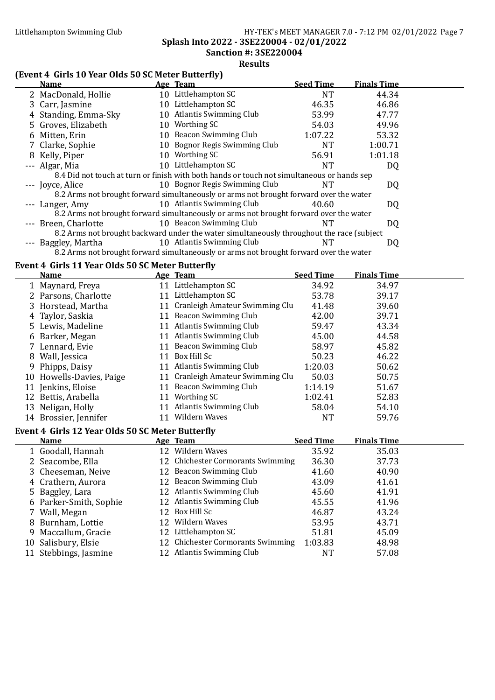Splash Into 2022 - 3SE220004 - 02/01/2022

Sanction #: 3SE220004 Results

#### (Event 4 Girls 10 Year Olds 50 SC Meter Butterfly)

| <b>Name</b>                                                                               |  | . .<br>Age Team                                                                            | <b>Seed Time</b> | <b>Finals Time</b> |  |  |  |
|-------------------------------------------------------------------------------------------|--|--------------------------------------------------------------------------------------------|------------------|--------------------|--|--|--|
| 2 MacDonald, Hollie                                                                       |  | 10 Littlehampton SC                                                                        | NT               | 44.34              |  |  |  |
| 3 Carr, Jasmine                                                                           |  | 10 Littlehampton SC                                                                        | 46.35            | 46.86              |  |  |  |
| 4 Standing, Emma-Sky                                                                      |  | 10 Atlantis Swimming Club                                                                  | 53.99            | 47.77              |  |  |  |
| 5 Groves, Elizabeth                                                                       |  | 10 Worthing SC                                                                             | 54.03            | 49.96              |  |  |  |
| 6 Mitten, Erin                                                                            |  | 10 Beacon Swimming Club                                                                    | 1:07.22          | 53.32              |  |  |  |
| 7 Clarke, Sophie                                                                          |  | 10 Bognor Regis Swimming Club                                                              | <b>NT</b>        | 1:00.71            |  |  |  |
| 8 Kelly, Piper                                                                            |  | 10 Worthing SC                                                                             | 56.91            | 1:01.18            |  |  |  |
| --- Algar, Mia                                                                            |  | 10 Littlehampton SC                                                                        | <b>NT</b>        | DQ                 |  |  |  |
|                                                                                           |  | 8.4 Did not touch at turn or finish with both hands or touch not simultaneous or hands sep |                  |                    |  |  |  |
| --- Joyce, Alice                                                                          |  | 10 Bognor Regis Swimming Club                                                              | NT               | DQ                 |  |  |  |
|                                                                                           |  | 8.2 Arms not brought forward simultaneously or arms not brought forward over the water     |                  |                    |  |  |  |
| --- Langer, Amy                                                                           |  | 10 Atlantis Swimming Club                                                                  | 40.60            | DQ                 |  |  |  |
|                                                                                           |  | 8.2 Arms not brought forward simultaneously or arms not brought forward over the water     |                  |                    |  |  |  |
| --- Breen, Charlotte                                                                      |  | 10 Beacon Swimming Club                                                                    | NT               | DQ                 |  |  |  |
| 8.2 Arms not brought backward under the water simultaneously throughout the race (subject |  |                                                                                            |                  |                    |  |  |  |
| --- Baggley, Martha                                                                       |  | 10 Atlantis Swimming Club                                                                  | NT               | DQ                 |  |  |  |

8.2 Arms not brought forward simultaneously or arms not brought forward over the water

4 Crathern, Aurora 12 Beacon Swimming Club 43.09 41.61 5 Baggley, Lara 12 Atlantis Swimming Club 45.60 41.91<br>6 Parker-Smith. Sophie 12 Atlantis Swimming Club 45.55 41.96 6 Parker-Smith, Sophie 12 Atlantis Swimming Club 45.55 41.96<br>
7 Wall, Megan 12 Box Hill Sc 46.87 43.24 7 Wall, Megan 12 Box Hill Sc 46.87 43.24<br>8 Burnham, Lottie 12 Wildern Waves 53.95 43.71 8 Burnham, Lottie 12 Wildern Waves 53.95 43.71 9 Maccallum, Gracie 12 Littlehampton SC 51.81 45.09<br>10 Salisbury, Elsie 12 Chichester Cormorants Swimming 1:03.83 48.98

11 Stebbings, Jasmine 12 Atlantis Swimming Club NT 57.08

#### Event 4 Girls 11 Year Olds 50 SC Meter Butterfly

|   | Name                                                    |    | Age Team                          | <b>Seed Time</b>     | <b>Finals Time</b> |  |
|---|---------------------------------------------------------|----|-----------------------------------|----------------------|--------------------|--|
|   | 1 Maynard, Freya                                        |    | 11 Littlehampton SC               | 34.92                | 34.97              |  |
|   | 2 Parsons, Charlotte                                    |    | 11 Littlehampton SC               | 53.78                | 39.17              |  |
|   | 3 Horstead, Martha                                      |    | 11 Cranleigh Amateur Swimming Clu | 41.48                | 39.60              |  |
|   | Taylor, Saskia                                          |    | 11 Beacon Swimming Club           | 42.00                | 39.71              |  |
|   | 5 Lewis, Madeline                                       | 11 | Atlantis Swimming Club            | 59.47                | 43.34              |  |
|   | 6 Barker, Megan                                         |    | 11 Atlantis Swimming Club         | 45.00                | 44.58              |  |
|   | 7 Lennard, Evie                                         | 11 | Beacon Swimming Club              | 58.97                | 45.82              |  |
| 8 | Wall, Jessica                                           | 11 | Box Hill Sc                       | 50.23                | 46.22              |  |
| 9 | Phipps, Daisy                                           | 11 | <b>Atlantis Swimming Club</b>     | 1:20.03              | 50.62              |  |
|   | 10 Howells-Davies, Paige                                |    | 11 Cranleigh Amateur Swimming Clu | 50.03                | 50.75              |  |
|   | 11 Jenkins, Eloise                                      |    | 11 Beacon Swimming Club           | 1:14.19              | 51.67              |  |
|   | 12 Bettis, Arabella                                     |    | 11 Worthing SC                    | 1:02.41              | 52.83              |  |
|   | 13 Neligan, Holly                                       | 11 | Atlantis Swimming Club            | 58.04                | 54.10              |  |
|   | 14 Brossier, Jennifer                                   | 11 | Wildern Waves                     | NT                   | 59.76              |  |
|   | <b>Event 4 Girls 12 Year Olds 50 SC Meter Butterfly</b> |    |                                   |                      |                    |  |
|   | <b>Name</b>                                             |    | Age Team                          | <b>Seed Time</b>     | <b>Finals Time</b> |  |
|   | 1 Goodall, Hannah                                       |    | 12 Wildern Waves                  | 35.92                | 35.03              |  |
|   | 2 Seacombe, Ella                                        |    | 12 Chichester Cormorants Swimming | 36.30                | 37.73              |  |
|   | 3 Cheeseman, Neive                                      |    | 12 Beacon Swimming Club           | 41.60                | 40.90              |  |
|   |                                                         |    |                                   | $\sim$ $\sim$ $\sim$ |                    |  |

12 Chichester Cormorants Swimming 1:03.83 48.98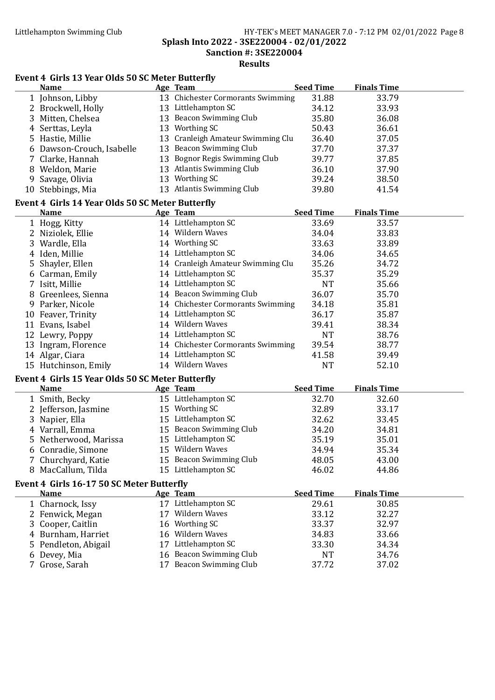#### Littlehampton Swimming Club **HY-TEK's MEET MANAGER 7.0 - 7:12 PM 02/01/2022** Page 8 Splash Into 2022 - 3SE220004 - 02/01/2022 Sanction #: 3SE220004

#### Results

### Event 4 Girls 13 Year Olds 50 SC Meter Butterfly

| <b>Name</b>                                      |  | Age Team                          | <b>Seed Time</b> | <b>Finals Time</b> |  |  |  |  |
|--------------------------------------------------|--|-----------------------------------|------------------|--------------------|--|--|--|--|
| 1 Johnson, Libby                                 |  | 13 Chichester Cormorants Swimming | 31.88            | 33.79              |  |  |  |  |
| 2 Brockwell, Holly                               |  | 13 Littlehampton SC               | 34.12            | 33.93              |  |  |  |  |
| 3 Mitten, Chelsea                                |  | 13 Beacon Swimming Club           | 35.80            | 36.08              |  |  |  |  |
| 4 Serttas, Leyla                                 |  | 13 Worthing SC                    | 50.43            | 36.61              |  |  |  |  |
| 5 Hastie, Millie                                 |  | 13 Cranleigh Amateur Swimming Clu | 36.40            | 37.05              |  |  |  |  |
| 6 Dawson-Crouch, Isabelle                        |  | 13 Beacon Swimming Club           | 37.70            | 37.37              |  |  |  |  |
| 7 Clarke, Hannah                                 |  | 13 Bognor Regis Swimming Club     | 39.77            | 37.85              |  |  |  |  |
| 8 Weldon, Marie                                  |  | 13 Atlantis Swimming Club         | 36.10            | 37.90              |  |  |  |  |
| 9 Savage, Olivia                                 |  | 13 Worthing SC                    | 39.24            | 38.50              |  |  |  |  |
| 10 Stebbings, Mia                                |  | 13 Atlantis Swimming Club         | 39.80            | 41.54              |  |  |  |  |
| Event 4 Girls 14 Year Olds 50 SC Meter Butterfly |  |                                   |                  |                    |  |  |  |  |
| <b>Name</b>                                      |  | Age Team                          | <b>Seed Time</b> | <b>Finals Time</b> |  |  |  |  |
| 1 Hogg, Kitty                                    |  | 14 Littlehampton SC               | 33.69            | 33.57              |  |  |  |  |
| 2 Niziolek, Ellie                                |  | 14 Wildern Waves                  | 34.04            | 33.83              |  |  |  |  |
| 3 Wardle, Ella                                   |  | 14 Worthing SC                    | 33.63            | 33.89              |  |  |  |  |
| 4 Iden, Millie                                   |  | 14 Littlehampton SC               | 34.06            | 34.65              |  |  |  |  |
| 5 Shayler, Ellen                                 |  | 14 Cranleigh Amateur Swimming Clu | 35.26            | 34.72              |  |  |  |  |
| 6 Carman, Emily                                  |  | 14 Littlehampton SC               | 35.37            | 35.29              |  |  |  |  |
| 7 Isitt, Millie                                  |  | 14 Littlehampton SC               | <b>NT</b>        | 35.66              |  |  |  |  |
| 8 Greenlees, Sienna                              |  | 14 Beacon Swimming Club           | 36.07            | 35.70              |  |  |  |  |
| 9 Parker, Nicole                                 |  | 14 Chichester Cormorants Swimming | 34.18            | 35.81              |  |  |  |  |
| 10 Feaver, Trinity                               |  | 14 Littlehampton SC               | 36.17            | 35.87              |  |  |  |  |
| 11 Evans, Isabel                                 |  | 14 Wildern Waves                  | 39.41            | 38.34              |  |  |  |  |
| 12 Lewry, Poppy                                  |  | 14 Littlehampton SC               | <b>NT</b>        | 38.76              |  |  |  |  |
| 13 Ingram, Florence                              |  | 14 Chichester Cormorants Swimming | 39.54            | 38.77              |  |  |  |  |
| 14 Algar, Ciara                                  |  | 14 Littlehampton SC               | 41.58            | 39.49              |  |  |  |  |
| 15 Hutchinson, Emily                             |  | 14 Wildern Waves                  | <b>NT</b>        | 52.10              |  |  |  |  |
| Event 4 Girls 15 Year Olds 50 SC Meter Butterfly |  |                                   |                  |                    |  |  |  |  |
| <b>Name</b>                                      |  | Age Team                          | <b>Seed Time</b> | <b>Finals Time</b> |  |  |  |  |
| 1 Smith, Becky                                   |  | 15 Littlehampton SC               | 32.70            | 32.60              |  |  |  |  |
| 2 Jefferson, Jasmine                             |  | 15 Worthing SC                    | 32.89            | 33.17              |  |  |  |  |
| 3 Napier, Ella                                   |  | 15 Littlehampton SC               | 32.62            | 33.45              |  |  |  |  |
| 4 Varrall, Emma                                  |  | 15 Beacon Swimming Club           | 34.20            | 34.81              |  |  |  |  |
| 5 Netherwood, Marissa                            |  | 15 Littlehampton SC               | 35.19            | 35.01              |  |  |  |  |
| 6 Conradie, Simone                               |  | 15 Wildern Waves                  | 34.94            | 35.34              |  |  |  |  |
| 7 Churchyard, Katie                              |  | 15 Beacon Swimming Club           | 48.05            | 43.00              |  |  |  |  |
| 8 MacCallum, Tilda                               |  | 15 Littlehampton SC               | 46.02            | 44.86              |  |  |  |  |
| Event 4 Girls 16-17 50 SC Meter Butterfly        |  |                                   |                  |                    |  |  |  |  |
| <b>Name</b>                                      |  | Age Team                          | <b>Seed Time</b> | <b>Finals Time</b> |  |  |  |  |
| 1 Charnock, Issy                                 |  | 17 Littlehampton SC               | 29.61            | 30.85              |  |  |  |  |
| 2 Fenwick, Megan                                 |  | 17 Wildern Waves                  | 33.12            | 32.27              |  |  |  |  |
| 3 Cooper, Caitlin                                |  | 16 Worthing SC                    | 33.37            | 32.97              |  |  |  |  |
| 4 Burnham, Harriet                               |  | 16 Wildern Waves                  | 34.83            | 33.66              |  |  |  |  |
| 5 Pendleton, Abigail                             |  | 17 Littlehampton SC               | 33.30            | 34.34              |  |  |  |  |
| 6 Devey, Mia                                     |  | 16 Beacon Swimming Club           | <b>NT</b>        | 34.76              |  |  |  |  |
| 7 Grose, Sarah                                   |  | 17 Beacon Swimming Club           | 37.72            | 37.02              |  |  |  |  |
|                                                  |  |                                   |                  |                    |  |  |  |  |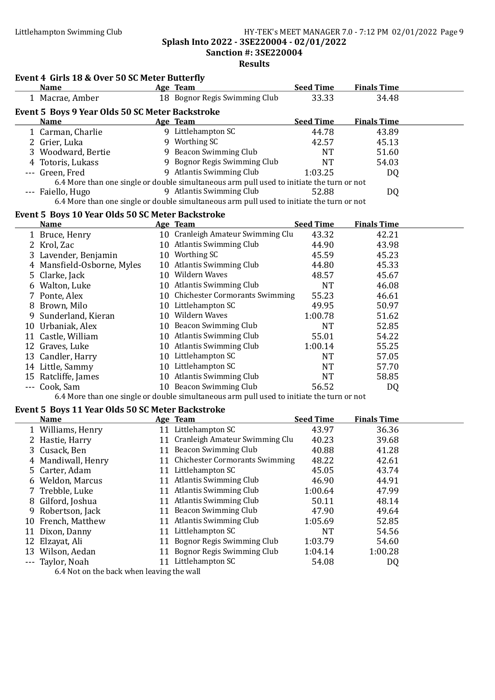#### Littlehampton Swimming Club HY-TEK's MEET MANAGER 7.0 - 7:12 PM 02/01/2022 Page 9 Splash Into 2022 - 3SE220004 - 02/01/2022 Sanction #: 3SE220004

#### Results

### Event 4 Girls 18 & Over 50 SC Meter Butterfly

|                                                 | <b>Name</b>                                       |   | Age Team                                                                                  | <b>Seed Time</b> | <b>Finals Time</b> |  |  |  |
|-------------------------------------------------|---------------------------------------------------|---|-------------------------------------------------------------------------------------------|------------------|--------------------|--|--|--|
|                                                 | 1 Macrae, Amber                                   |   | 18 Bognor Regis Swimming Club                                                             | 33.33            | 34.48              |  |  |  |
| Event 5 Boys 9 Year Olds 50 SC Meter Backstroke |                                                   |   |                                                                                           |                  |                    |  |  |  |
|                                                 | <b>Name</b>                                       |   | Age Team                                                                                  | <b>Seed Time</b> | <b>Finals Time</b> |  |  |  |
|                                                 | 1 Carman, Charlie                                 |   | 9 Littlehampton SC                                                                        | 44.78            | 43.89              |  |  |  |
|                                                 | 2 Grier, Luka                                     |   | 9 Worthing SC                                                                             | 42.57            | 45.13              |  |  |  |
|                                                 | 3 Woodward, Bertie                                |   | 9 Beacon Swimming Club                                                                    | <b>NT</b>        | 51.60              |  |  |  |
|                                                 | 4 Totoris, Lukass                                 |   | 9 Bognor Regis Swimming Club                                                              | NT               | 54.03              |  |  |  |
|                                                 | --- Green, Fred                                   |   | 9 Atlantis Swimming Club                                                                  | 1:03.25          | DQ                 |  |  |  |
|                                                 |                                                   |   | 6.4 More than one single or double simultaneous arm pull used to initiate the turn or not |                  |                    |  |  |  |
|                                                 | --- Faiello, Hugo                                 | 9 | Atlantis Swimming Club                                                                    | 52.88            | DQ                 |  |  |  |
|                                                 |                                                   |   | 6.4 More than one single or double simultaneous arm pull used to initiate the turn or not |                  |                    |  |  |  |
|                                                 | Event 5, Roys 10 Vear Olds 50 SC Motor Rackstroke |   |                                                                                           |                  |                    |  |  |  |

#### Event 5 Boys 10 Year Olds 50 SC Meter Backstroke

|   | <b>Name</b>                |    | Age Team                          | <b>Seed Time</b> | <b>Finals Time</b> |  |
|---|----------------------------|----|-----------------------------------|------------------|--------------------|--|
|   | 1 Bruce, Henry             |    | 10 Cranleigh Amateur Swimming Clu | 43.32            | 42.21              |  |
|   | 2 Krol, Zac                | 10 | <b>Atlantis Swimming Club</b>     | 44.90            | 43.98              |  |
|   | 3 Lavender, Benjamin       | 10 | Worthing SC                       | 45.59            | 45.23              |  |
|   | 4 Mansfield-Osborne, Myles | 10 | <b>Atlantis Swimming Club</b>     | 44.80            | 45.33              |  |
|   | 5 Clarke, Jack             | 10 | Wildern Waves                     | 48.57            | 45.67              |  |
|   | 6 Walton, Luke             | 10 | <b>Atlantis Swimming Club</b>     | <b>NT</b>        | 46.08              |  |
|   | 7 Ponte, Alex              |    | 10 Chichester Cormorants Swimming | 55.23            | 46.61              |  |
| 8 | Brown, Milo                | 10 | Littlehampton SC                  | 49.95            | 50.97              |  |
|   | 9 Sunderland, Kieran       | 10 | Wildern Waves                     | 1:00.78          | 51.62              |  |
|   | 10 Urbaniak, Alex          | 10 | Beacon Swimming Club              | <b>NT</b>        | 52.85              |  |
|   | 11 Castle, William         | 10 | <b>Atlantis Swimming Club</b>     | 55.01            | 54.22              |  |
|   | 12 Graves, Luke            | 10 | <b>Atlantis Swimming Club</b>     | 1:00.14          | 55.25              |  |
|   | 13 Candler, Harry          | 10 | Littlehampton SC                  | <b>NT</b>        | 57.05              |  |
|   | 14 Little, Sammy           | 10 | Littlehampton SC                  | <b>NT</b>        | 57.70              |  |
|   | 15 Ratcliffe, James        | 10 | <b>Atlantis Swimming Club</b>     | <b>NT</b>        | 58.85              |  |
|   | --- Cook, Sam              | 10 | Beacon Swimming Club              | 56.52            | DQ                 |  |

#### 6.4 More than one single or double simultaneous arm pull used to initiate the turn or not

#### Event 5 Boys 11 Year Olds 50 SC Meter Backstroke

|    | <b>Name</b>                                        |    | Age Team                              | <b>Seed Time</b> | <b>Finals Time</b> |  |
|----|----------------------------------------------------|----|---------------------------------------|------------------|--------------------|--|
|    | 1 Williams, Henry                                  | 11 | Littlehampton SC                      | 43.97            | 36.36              |  |
|    | 2 Hastie, Harry                                    | 11 | Cranleigh Amateur Swimming Clu        | 40.23            | 39.68              |  |
|    | 3 Cusack, Ben                                      | 11 | Beacon Swimming Club                  | 40.88            | 41.28              |  |
|    | 4 Mandiwall, Henry                                 |    | <b>Chichester Cormorants Swimming</b> | 48.22            | 42.61              |  |
|    | 5 Carter, Adam                                     | 11 | Littlehampton SC                      | 45.05            | 43.74              |  |
|    | 6 Weldon, Marcus                                   | 11 | Atlantis Swimming Club                | 46.90            | 44.91              |  |
|    | 7 Trebble, Luke                                    |    | <b>Atlantis Swimming Club</b>         | 1:00.64          | 47.99              |  |
|    | 8 Gilford, Joshua                                  | 11 | Atlantis Swimming Club                | 50.11            | 48.14              |  |
|    | 9 Robertson, Jack                                  | 11 | Beacon Swimming Club                  | 47.90            | 49.64              |  |
|    | 10 French, Matthew                                 | 11 | <b>Atlantis Swimming Club</b>         | 1:05.69          | 52.85              |  |
| 11 | Dixon, Danny                                       | 11 | Littlehampton SC                      | <b>NT</b>        | 54.56              |  |
|    | 12 Elzayat, Ali                                    | 11 | Bognor Regis Swimming Club            | 1:03.79          | 54.60              |  |
|    | 13 Wilson, Aedan                                   | 11 | Bognor Regis Swimming Club            | 1:04.14          | 1:00.28            |  |
|    | --- Taylor, Noah                                   |    | Littlehampton SC                      | 54.08            | DQ                 |  |
|    | $\ell$ A M at an the head and an least a the small |    |                                       |                  |                    |  |

6.4 Not on the back when leaving the wall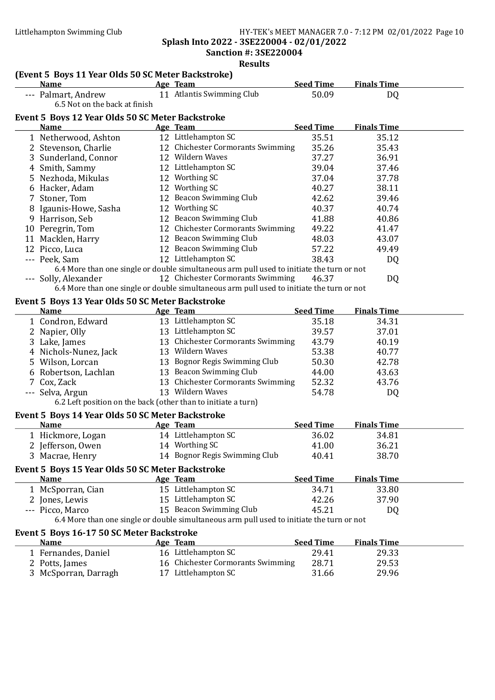Splash Into 2022 - 3SE220004 - 02/01/2022 Sanction #: 3SE220004

| (Event 5 Boys 11 Year Olds 50 SC Meter Backstroke)            |                                                                                           |                  |                    |  |
|---------------------------------------------------------------|-------------------------------------------------------------------------------------------|------------------|--------------------|--|
| <b>Name</b>                                                   | Age Team                                                                                  | <b>Seed Time</b> | <b>Finals Time</b> |  |
| --- Palmart, Andrew<br>6.5 Not on the back at finish          | 11 Atlantis Swimming Club                                                                 | 50.09            | DQ                 |  |
| Event 5 Boys 12 Year Olds 50 SC Meter Backstroke              |                                                                                           |                  |                    |  |
| <b>Name</b>                                                   | Age Team                                                                                  | <b>Seed Time</b> | <b>Finals Time</b> |  |
| 1 Netherwood, Ashton                                          | 12 Littlehampton SC                                                                       | 35.51            | 35.12              |  |
| 2 Stevenson, Charlie                                          | 12 Chichester Cormorants Swimming                                                         | 35.26            | 35.43              |  |
| 3 Sunderland, Connor                                          | 12 Wildern Waves                                                                          | 37.27            | 36.91              |  |
| 4 Smith, Sammy                                                | 12 Littlehampton SC                                                                       | 39.04            | 37.46              |  |
| 5 Nezhoda, Mikulas                                            | 12 Worthing SC                                                                            | 37.04            | 37.78              |  |
| 6 Hacker, Adam                                                | 12 Worthing SC                                                                            | 40.27            | 38.11              |  |
| 7 Stoner, Tom                                                 | 12 Beacon Swimming Club                                                                   | 42.62            | 39.46              |  |
| 8 Igaunis-Howe, Sasha                                         | 12 Worthing SC                                                                            | 40.37            | 40.74              |  |
| 9 Harrison, Seb                                               | 12 Beacon Swimming Club                                                                   | 41.88            | 40.86              |  |
| 10 Peregrin, Tom                                              | 12 Chichester Cormorants Swimming                                                         | 49.22            | 41.47              |  |
| 11 Macklen, Harry                                             | 12 Beacon Swimming Club                                                                   | 48.03            | 43.07              |  |
| 12 Picco, Luca                                                | 12 Beacon Swimming Club                                                                   | 57.22            | 49.49              |  |
| --- Peek, Sam                                                 | 12 Littlehampton SC                                                                       | 38.43            | DQ                 |  |
|                                                               | 6.4 More than one single or double simultaneous arm pull used to initiate the turn or not |                  |                    |  |
| --- Solly, Alexander                                          | 12 Chichester Cormorants Swimming                                                         | 46.37            | DQ                 |  |
|                                                               | 6.4 More than one single or double simultaneous arm pull used to initiate the turn or not |                  |                    |  |
| Event 5 Boys 13 Year Olds 50 SC Meter Backstroke              |                                                                                           |                  |                    |  |
| <b>Name</b>                                                   | Age Team                                                                                  | <b>Seed Time</b> | <b>Finals Time</b> |  |
| 1 Condron, Edward                                             | 13 Littlehampton SC                                                                       | 35.18            | 34.31              |  |
| 2 Napier, Olly                                                | 13 Littlehampton SC                                                                       | 39.57            | 37.01              |  |
| 3 Lake, James                                                 | 13 Chichester Cormorants Swimming                                                         | 43.79            | 40.19              |  |
| 4 Nichols-Nunez, Jack                                         | 13 Wildern Waves                                                                          | 53.38            | 40.77              |  |
| 5 Wilson, Lorcan                                              | 13 Bognor Regis Swimming Club                                                             | 50.30            | 42.78              |  |
| 6 Robertson, Lachlan                                          | 13 Beacon Swimming Club                                                                   | 44.00            | 43.63              |  |
| 7 Cox, Zack                                                   | 13 Chichester Cormorants Swimming                                                         | 52.32            | 43.76              |  |
| --- Selva, Argun                                              | 13 Wildern Waves                                                                          | 54.78            | DQ                 |  |
| 6.2 Left position on the back (other than to initiate a turn) |                                                                                           |                  |                    |  |
| Event 5 Boys 14 Year Olds 50 SC Meter Backstroke              |                                                                                           |                  |                    |  |
| Name                                                          | Age Team                                                                                  | <b>Seed Time</b> | <b>Finals Time</b> |  |
| 1 Hickmore, Logan                                             | 14 Littlehampton SC                                                                       | 36.02            | 34.81              |  |
| 2 Jefferson, Owen                                             | 14 Worthing SC                                                                            | 41.00            | 36.21              |  |
| 3 Macrae, Henry                                               | 14 Bognor Regis Swimming Club                                                             | 40.41            | 38.70              |  |
| Event 5 Boys 15 Year Olds 50 SC Meter Backstroke              |                                                                                           |                  |                    |  |
| <b>Name</b>                                                   | Age Team                                                                                  | <b>Seed Time</b> | <b>Finals Time</b> |  |
| 1 McSporran, Cian                                             | 15 Littlehampton SC                                                                       | 34.71            | 33.80              |  |
| 2 Jones, Lewis                                                | 15 Littlehampton SC                                                                       | 42.26            | 37.90              |  |
| --- Picco, Marco                                              | 15 Beacon Swimming Club                                                                   | 45.21            | DQ                 |  |
|                                                               | 6.4 More than one single or double simultaneous arm pull used to initiate the turn or not |                  |                    |  |
| Event 5 Boys 16-17 50 SC Meter Backstroke                     |                                                                                           |                  |                    |  |
| <b>Name</b>                                                   | Age Team                                                                                  | <b>Seed Time</b> | <b>Finals Time</b> |  |
| 1 Fernandes, Daniel                                           | 16 Littlehampton SC                                                                       | 29.41            | 29.33              |  |
| 2 Potts, James                                                | 16 Chichester Cormorants Swimming                                                         | 28.71            | 29.53              |  |
| 3 McSporran, Darragh                                          | 17 Littlehampton SC                                                                       | 31.66            | 29.96              |  |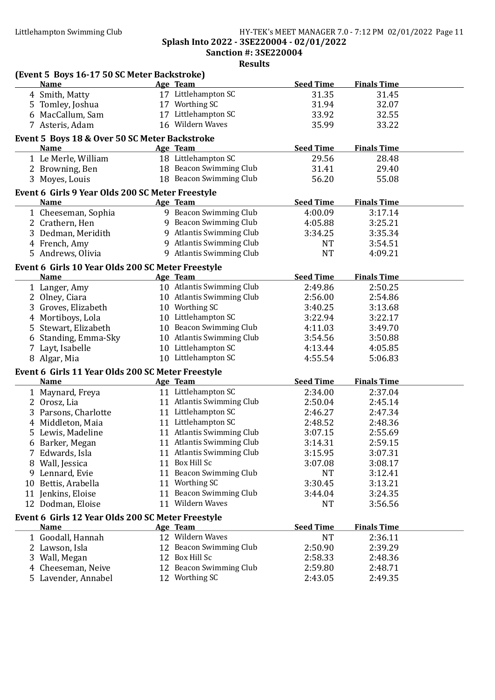#### Littlehampton Swimming Club HY-TEK's MEET MANAGER 7.0 - 7:12 PM 02/01/2022 Page 11 Splash Into 2022 - 3SE220004 - 02/01/2022 Sanction #: 3SE220004

| (Event 5 Boys 16-17 50 SC Meter Backstroke)       |                           |                  |                    |  |
|---------------------------------------------------|---------------------------|------------------|--------------------|--|
| <b>Name</b>                                       | Age Team                  | <b>Seed Time</b> | <b>Finals Time</b> |  |
| 4 Smith, Matty                                    | 17 Littlehampton SC       | 31.35            | 31.45              |  |
| 5 Tomley, Joshua                                  | 17 Worthing SC            | 31.94            | 32.07              |  |
| 6 MacCallum, Sam                                  | 17 Littlehampton SC       | 33.92            | 32.55              |  |
| 7 Asteris, Adam                                   | 16 Wildern Waves          | 35.99            | 33.22              |  |
| Event 5 Boys 18 & Over 50 SC Meter Backstroke     |                           |                  |                    |  |
| <b>Name</b>                                       | Age Team                  | <b>Seed Time</b> | <b>Finals Time</b> |  |
| 1 Le Merle, William                               | 18 Littlehampton SC       | 29.56            | 28.48              |  |
| 2 Browning, Ben                                   | 18 Beacon Swimming Club   | 31.41            | 29.40              |  |
| 3 Moyes, Louis                                    | 18 Beacon Swimming Club   | 56.20            | 55.08              |  |
|                                                   |                           |                  |                    |  |
| Event 6 Girls 9 Year Olds 200 SC Meter Freestyle  |                           |                  |                    |  |
| <b>Name</b>                                       | Age Team                  | <b>Seed Time</b> | <b>Finals Time</b> |  |
| 1 Cheeseman, Sophia                               | 9 Beacon Swimming Club    | 4:00.09          | 3:17.14            |  |
| 2 Crathern, Hen                                   | 9 Beacon Swimming Club    | 4:05.88          | 3:25.21            |  |
| 3 Dedman, Meridith                                | 9 Atlantis Swimming Club  | 3:34.25          | 3:35.34            |  |
| 4 French, Amy                                     | 9 Atlantis Swimming Club  | <b>NT</b>        | 3:54.51            |  |
| 5 Andrews, Olivia                                 | 9 Atlantis Swimming Club  | <b>NT</b>        | 4:09.21            |  |
| Event 6 Girls 10 Year Olds 200 SC Meter Freestyle |                           |                  |                    |  |
| <b>Name</b>                                       | Age Team                  | <b>Seed Time</b> | <b>Finals Time</b> |  |
| 1 Langer, Amy                                     | 10 Atlantis Swimming Club | 2:49.86          | 2:50.25            |  |
| 2 Olney, Ciara                                    | 10 Atlantis Swimming Club | 2:56.00          | 2:54.86            |  |
| 3 Groves, Elizabeth                               | 10 Worthing SC            | 3:40.25          | 3:13.68            |  |
| 4 Mortiboys, Lola                                 | 10 Littlehampton SC       | 3:22.94          | 3:22.17            |  |
| 5 Stewart, Elizabeth                              | 10 Beacon Swimming Club   | 4:11.03          | 3:49.70            |  |
| 6 Standing, Emma-Sky                              | 10 Atlantis Swimming Club | 3:54.56          | 3:50.88            |  |
| 7 Layt, Isabelle                                  | 10 Littlehampton SC       | 4:13.44          | 4:05.85            |  |
| 8 Algar, Mia                                      | 10 Littlehampton SC       | 4:55.54          | 5:06.83            |  |
|                                                   |                           |                  |                    |  |
| Event 6 Girls 11 Year Olds 200 SC Meter Freestyle |                           |                  |                    |  |
| <b>Name</b>                                       | Age Team                  | <b>Seed Time</b> | <b>Finals Time</b> |  |
| 1 Maynard, Freya                                  | 11 Littlehampton SC       | 2:34.00          | 2:37.04            |  |
| 2 Orosz, Lia                                      | 11 Atlantis Swimming Club | 2:50.04          | 2:45.14            |  |
| 3 Parsons, Charlotte                              | 11 Littlehampton SC       | 2:46.27          | 2:47.34            |  |
| 4 Middleton, Maia                                 | 11 Littlehampton SC       | 2:48.52          | 2:48.36            |  |
| 5 Lewis, Madeline                                 | 11 Atlantis Swimming Club | 3:07.15          | 2:55.69            |  |
| 6 Barker, Megan                                   | 11 Atlantis Swimming Club | 3:14.31          | 2:59.15            |  |
| 7 Edwards, Isla                                   | 11 Atlantis Swimming Club | 3:15.95          | 3:07.31            |  |
| 8 Wall, Jessica                                   | 11 Box Hill Sc            | 3:07.08          | 3:08.17            |  |
| 9 Lennard, Evie                                   | 11 Beacon Swimming Club   | <b>NT</b>        | 3:12.41            |  |
| 10 Bettis, Arabella                               | 11 Worthing SC            | 3:30.45          | 3:13.21            |  |
| 11 Jenkins, Eloise                                | 11 Beacon Swimming Club   | 3:44.04          | 3:24.35            |  |
| 12 Dodman, Eloise                                 | 11 Wildern Waves          | <b>NT</b>        | 3:56.56            |  |
| Event 6 Girls 12 Year Olds 200 SC Meter Freestyle |                           |                  |                    |  |
| <b>Name</b>                                       | Age Team                  | <b>Seed Time</b> | <b>Finals Time</b> |  |
| 1 Goodall, Hannah                                 | 12 Wildern Waves          | <b>NT</b>        | 2:36.11            |  |
| 2 Lawson, Isla                                    | 12 Beacon Swimming Club   | 2:50.90          | 2:39.29            |  |
| 3 Wall, Megan                                     | 12 Box Hill Sc            | 2:58.33          | 2:48.36            |  |
| 4 Cheeseman, Neive                                | 12 Beacon Swimming Club   | 2:59.80          | 2:48.71            |  |
| 5 Lavender, Annabel                               | 12 Worthing SC            | 2:43.05          | 2:49.35            |  |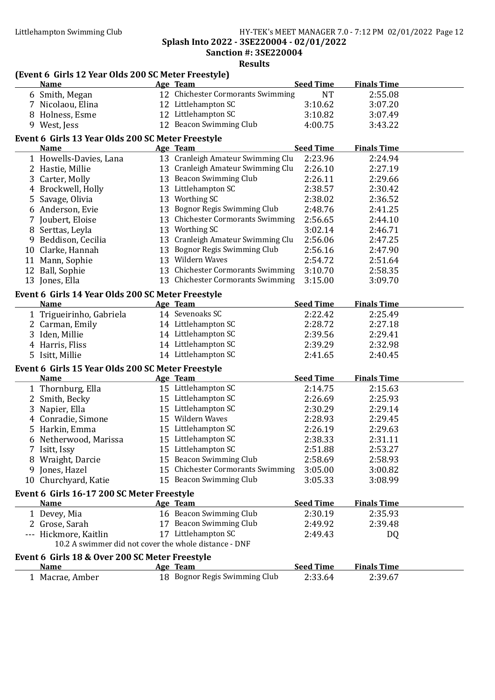Splash Into 2022 - 3SE220004 - 02/01/2022

Sanction #: 3SE220004 Results

| (Event 6 Girls 12 Year Olds 200 SC Meter Freestyle)           |                                   |                  |                    |  |
|---------------------------------------------------------------|-----------------------------------|------------------|--------------------|--|
| <b>Name</b>                                                   | <b>Age Team</b>                   | <b>Seed Time</b> | <b>Finals Time</b> |  |
| 6 Smith, Megan                                                | 12 Chichester Cormorants Swimming | <b>NT</b>        | 2:55.08            |  |
| 7 Nicolaou, Elina                                             | 12 Littlehampton SC               | 3:10.62          | 3:07.20            |  |
| 8 Holness, Esme                                               | 12 Littlehampton SC               | 3:10.82          | 3:07.49            |  |
| 9 West, Jess                                                  | 12 Beacon Swimming Club           | 4:00.75          | 3:43.22            |  |
| Event 6 Girls 13 Year Olds 200 SC Meter Freestyle             |                                   |                  |                    |  |
| <b>Name</b>                                                   | Age Team                          | <b>Seed Time</b> | <b>Finals Time</b> |  |
| 1 Howells-Davies, Lana                                        | 13 Cranleigh Amateur Swimming Clu | 2:23.96          | 2:24.94            |  |
| 2 Hastie, Millie                                              | 13 Cranleigh Amateur Swimming Clu | 2:26.10          | 2:27.19            |  |
| 3 Carter, Molly                                               | 13 Beacon Swimming Club           | 2:26.11          | 2:29.66            |  |
| 4 Brockwell, Holly                                            | 13 Littlehampton SC               | 2:38.57          | 2:30.42            |  |
| 5 Savage, Olivia                                              | 13 Worthing SC                    | 2:38.02          | 2:36.52            |  |
| 6 Anderson, Evie                                              | 13 Bognor Regis Swimming Club     | 2:48.76          | 2:41.25            |  |
| 7 Joubert, Eloise                                             | 13 Chichester Cormorants Swimming | 2:56.65          | 2:44.10            |  |
| 8 Serttas, Leyla                                              | 13 Worthing SC                    | 3:02.14          | 2:46.71            |  |
| 9 Beddison, Cecilia                                           | 13 Cranleigh Amateur Swimming Clu | 2:56.06          | 2:47.25            |  |
| 10 Clarke, Hannah                                             | 13 Bognor Regis Swimming Club     | 2:56.16          | 2:47.90            |  |
| 11 Mann, Sophie                                               | 13 Wildern Waves                  | 2:54.72          | 2:51.64            |  |
| 12 Ball, Sophie                                               | 13 Chichester Cormorants Swimming | 3:10.70          | 2:58.35            |  |
| 13 Jones, Ella                                                | 13 Chichester Cormorants Swimming | 3:15.00          | 3:09.70            |  |
| Event 6 Girls 14 Year Olds 200 SC Meter Freestyle             |                                   |                  |                    |  |
| <b>Name</b>                                                   | Age Team                          | <b>Seed Time</b> | <b>Finals Time</b> |  |
| 1 Trigueirinho, Gabriela                                      | 14 Sevenoaks SC                   | 2:22.42          | 2:25.49            |  |
| 2 Carman, Emily                                               | 14 Littlehampton SC               | 2:28.72          | 2:27.18            |  |
| 3 Iden, Millie                                                | 14 Littlehampton SC               | 2:39.56          | 2:29.41            |  |
| 4 Harris, Fliss                                               | 14 Littlehampton SC               | 2:39.29          | 2:32.98            |  |
| 5 Isitt, Millie                                               | 14 Littlehampton SC               | 2:41.65          | 2:40.45            |  |
| Event 6 Girls 15 Year Olds 200 SC Meter Freestyle             |                                   |                  |                    |  |
| <b>Name</b>                                                   | Age Team                          | <b>Seed Time</b> | <b>Finals Time</b> |  |
| 1 Thornburg, Ella                                             | 15 Littlehampton SC               | 2:14.75          | 2:15.63            |  |
| 2 Smith, Becky                                                | 15 Littlehampton SC               | 2:26.69          | 2:25.93            |  |
| 3 Napier, Ella                                                | 15 Littlehampton SC               | 2:30.29          | 2:29.14            |  |
| 4 Conradie, Simone                                            | 15 Wildern Waves                  | 2:28.93          | 2:29.45            |  |
| 5 Harkin, Emma                                                | 15 Littlehampton SC               | 2:26.19          | 2:29.63            |  |
| 6 Netherwood, Marissa                                         | 15 Littlehampton SC               | 2:38.33          | 2:31.11            |  |
| 7 Isitt, Issy                                                 | 15 Littlehampton SC               | 2:51.88          | 2:53.27            |  |
| 8 Wraight, Darcie                                             | 15 Beacon Swimming Club           | 2:58.69          | 2:58.93            |  |
| 9 Jones, Hazel                                                | 15 Chichester Cormorants Swimming | 3:05.00          | 3:00.82            |  |
| 10 Churchyard, Katie                                          | 15 Beacon Swimming Club           | 3:05.33          | 3:08.99            |  |
| Event 6 Girls 16-17 200 SC Meter Freestyle                    |                                   |                  |                    |  |
| Name                                                          | Age Team                          | <b>Seed Time</b> | <b>Finals Time</b> |  |
| 1 Devey, Mia                                                  | 16 Beacon Swimming Club           | 2:30.19          | 2:35.93            |  |
| 2 Grose, Sarah                                                | 17 Beacon Swimming Club           | 2:49.92          | 2:39.48            |  |
| --- Hickmore, Kaitlin                                         | 17 Littlehampton SC               | 2:49.43          | DQ                 |  |
| 10.2 A swimmer did not cover the whole distance - DNF         |                                   |                  |                    |  |
|                                                               |                                   |                  |                    |  |
| Event 6 Girls 18 & Over 200 SC Meter Freestyle<br><b>Name</b> | Age Team                          | <b>Seed Time</b> | <b>Finals Time</b> |  |
| 1 Macrae, Amber                                               | 18 Bognor Regis Swimming Club     | 2:33.64          | 2:39.67            |  |
|                                                               |                                   |                  |                    |  |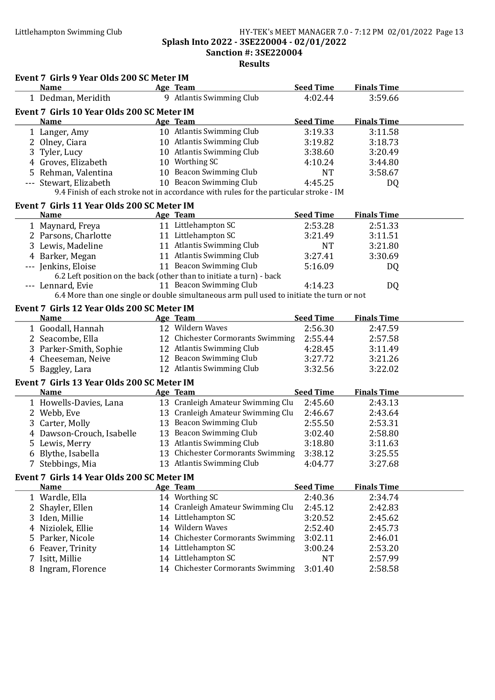#### Littlehampton Swimming Club HY-TEK's MEET MANAGER 7.0 - 7:12 PM 02/01/2022 Page 13 Splash Into 2022 - 3SE220004 - 02/01/2022 Sanction #: 3SE220004 Results

|   | Event 7 Girls 9 Year Olds 200 SC Meter IM  |                                                                                           |                  |                    |  |
|---|--------------------------------------------|-------------------------------------------------------------------------------------------|------------------|--------------------|--|
|   | <b>Name</b>                                | Age Team                                                                                  | <b>Seed Time</b> | <b>Finals Time</b> |  |
|   | 1 Dedman, Meridith                         | 9 Atlantis Swimming Club                                                                  | 4:02.44          | 3:59.66            |  |
|   | Event 7 Girls 10 Year Olds 200 SC Meter IM |                                                                                           |                  |                    |  |
|   | <b>Name</b>                                | Age Team                                                                                  | <b>Seed Time</b> | <b>Finals Time</b> |  |
|   | 1 Langer, Amy                              | 10 Atlantis Swimming Club                                                                 | 3:19.33          | 3:11.58            |  |
|   | 2 Olney, Ciara                             | 10 Atlantis Swimming Club                                                                 | 3:19.82          | 3:18.73            |  |
|   | 3 Tyler, Lucy                              | 10 Atlantis Swimming Club                                                                 | 3:38.60          | 3:20.49            |  |
|   | 4 Groves, Elizabeth                        | 10 Worthing SC                                                                            | 4:10.24          | 3:44.80            |  |
|   | 5 Rehman, Valentina                        | 10 Beacon Swimming Club                                                                   | <b>NT</b>        | 3:58.67            |  |
|   | --- Stewart, Elizabeth                     | 10 Beacon Swimming Club                                                                   | 4:45.25          | DQ                 |  |
|   |                                            | 9.4 Finish of each stroke not in accordance with rules for the particular stroke - IM     |                  |                    |  |
|   | Event 7 Girls 11 Year Olds 200 SC Meter IM |                                                                                           |                  |                    |  |
|   | <b>Name</b>                                | Age Team                                                                                  | <b>Seed Time</b> | <b>Finals Time</b> |  |
|   | 1 Maynard, Freya                           | 11 Littlehampton SC                                                                       | 2:53.28          | 2:51.33            |  |
|   | 2 Parsons, Charlotte                       | 11 Littlehampton SC                                                                       | 3:21.49          | 3:11.51            |  |
|   | 3 Lewis, Madeline                          | 11 Atlantis Swimming Club                                                                 | <b>NT</b>        | 3:21.80            |  |
|   | 4 Barker, Megan                            | 11 Atlantis Swimming Club                                                                 | 3:27.41          | 3:30.69            |  |
|   | --- Jenkins, Eloise                        | 11 Beacon Swimming Club                                                                   | 5:16.09          | DQ                 |  |
|   |                                            | 6.2 Left position on the back (other than to initiate a turn) - back                      |                  |                    |  |
|   | --- Lennard, Evie                          | 11 Beacon Swimming Club                                                                   | 4:14.23          | DQ                 |  |
|   |                                            | 6.4 More than one single or double simultaneous arm pull used to initiate the turn or not |                  |                    |  |
|   | Event 7 Girls 12 Year Olds 200 SC Meter IM |                                                                                           |                  |                    |  |
|   | <b>Name</b>                                | Age Team                                                                                  | <b>Seed Time</b> | <b>Finals Time</b> |  |
|   | 1 Goodall, Hannah                          | 12 Wildern Waves                                                                          | 2:56.30          | 2:47.59            |  |
|   | 2 Seacombe, Ella                           | 12 Chichester Cormorants Swimming                                                         | 2:55.44          | 2:57.58            |  |
|   | 3 Parker-Smith, Sophie                     | 12 Atlantis Swimming Club                                                                 | 4:28.45          | 3:11.49            |  |
|   | 4 Cheeseman, Neive                         | 12 Beacon Swimming Club                                                                   | 3:27.72          | 3:21.26            |  |
|   | 5 Baggley, Lara                            | 12 Atlantis Swimming Club                                                                 | 3:32.56          | 3:22.02            |  |
|   | Event 7 Girls 13 Year Olds 200 SC Meter IM |                                                                                           |                  |                    |  |
|   | <b>Name</b>                                | Age Team                                                                                  | <b>Seed Time</b> | <b>Finals Time</b> |  |
|   | 1 Howells-Davies, Lana                     | 13 Cranleigh Amateur Swimming Clu                                                         | 2:45.60          | 2:43.13            |  |
|   | 2 Webb, Eve                                | 13 Cranleigh Amateur Swimming Clu                                                         | 2:46.67          | 2:43.64            |  |
|   | 3 Carter, Molly                            | 13 Beacon Swimming Club                                                                   | 2:55.50          | 2:53.31            |  |
|   | 4 Dawson-Crouch, Isabelle                  | 13 Beacon Swimming Club                                                                   | 3:02.40          | 2:58.80            |  |
|   | 5 Lewis, Merry                             | 13 Atlantis Swimming Club                                                                 | 3:18.80          | 3:11.63            |  |
|   | 6 Blythe, Isabella                         | 13 Chichester Cormorants Swimming                                                         | 3:38.12          | 3:25.55            |  |
|   | 7 Stebbings, Mia                           | 13 Atlantis Swimming Club                                                                 | 4:04.77          | 3:27.68            |  |
|   |                                            |                                                                                           |                  |                    |  |
|   | Event 7 Girls 14 Year Olds 200 SC Meter IM |                                                                                           |                  |                    |  |
|   | <b>Name</b>                                | Age Team                                                                                  | <b>Seed Time</b> | <b>Finals Time</b> |  |
|   | 1 Wardle, Ella                             | 14 Worthing SC                                                                            | 2:40.36          | 2:34.74            |  |
|   | 2 Shayler, Ellen                           | 14 Cranleigh Amateur Swimming Clu                                                         | 2:45.12          | 2:42.83            |  |
|   | 3 Iden, Millie                             | 14 Littlehampton SC                                                                       | 3:20.52          | 2:45.62            |  |
|   | 4 Niziolek, Ellie                          | 14 Wildern Waves                                                                          | 2:52.40          | 2:45.73            |  |
|   | 5 Parker, Nicole                           | 14 Chichester Cormorants Swimming                                                         | 3:02.11          | 2:46.01            |  |
|   | 6 Feaver, Trinity                          | 14 Littlehampton SC                                                                       | 3:00.24          | 2:53.20            |  |
| 7 | Isitt, Millie                              | 14 Littlehampton SC                                                                       | <b>NT</b>        | 2:57.99            |  |
|   | 8 Ingram, Florence                         | 14 Chichester Cormorants Swimming                                                         | 3:01.40          | 2:58.58            |  |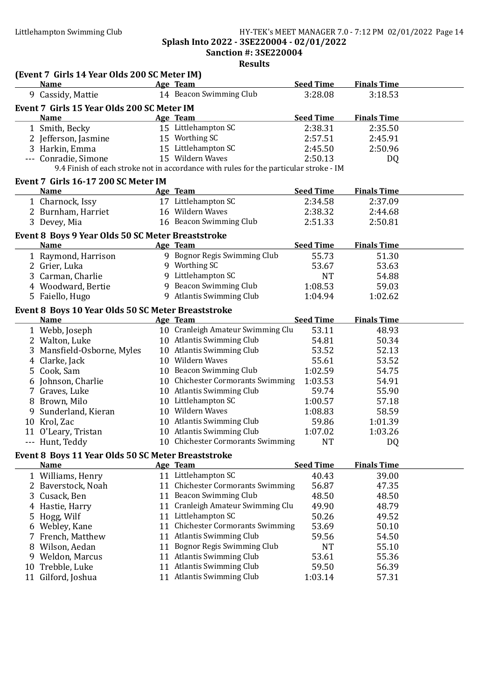#### Littlehampton Swimming Club HY-TEK's MEET MANAGER 7.0 - 7:12 PM 02/01/2022 Page 14 Splash Into 2022 - 3SE220004 - 02/01/2022

Sanction #: 3SE220004

|    | (Event 7 Girls 14 Year Olds 200 SC Meter IM)       |    |                                                                                       |                  |                    |  |
|----|----------------------------------------------------|----|---------------------------------------------------------------------------------------|------------------|--------------------|--|
|    | <b>Name</b><br><b>Example 2</b> Age Team           |    |                                                                                       | <b>Seed Time</b> | <b>Finals Time</b> |  |
|    | 9 Cassidy, Mattie                                  |    | 14 Beacon Swimming Club                                                               | 3:28.08          | 3:18.53            |  |
|    | Event 7 Girls 15 Year Olds 200 SC Meter IM         |    |                                                                                       |                  |                    |  |
|    | Name                                               |    | Age Team                                                                              | <b>Seed Time</b> | <b>Finals Time</b> |  |
|    | 1 Smith, Becky                                     |    | 15 Littlehampton SC                                                                   | 2:38.31          | 2:35.50            |  |
|    | 2 Jefferson, Jasmine                               |    | 15 Worthing SC                                                                        | 2:57.51          | 2:45.91            |  |
|    | 3 Harkin, Emma                                     |    | 15 Littlehampton SC                                                                   | 2:45.50          | 2:50.96            |  |
|    | --- Conradie, Simone                               |    | 15 Wildern Waves                                                                      | 2:50.13          | DQ                 |  |
|    |                                                    |    | 9.4 Finish of each stroke not in accordance with rules for the particular stroke - IM |                  |                    |  |
|    | Event 7 Girls 16-17 200 SC Meter IM                |    |                                                                                       |                  |                    |  |
|    | <b>Name</b>                                        |    | Age Team                                                                              | <b>Seed Time</b> | <b>Finals Time</b> |  |
|    | 1 Charnock, Issy                                   |    | 17 Littlehampton SC                                                                   | 2:34.58          | 2:37.09            |  |
|    | 2 Burnham, Harriet                                 |    | 16 Wildern Waves                                                                      | 2:38.32          | 2:44.68            |  |
|    | 3 Devey, Mia                                       |    | 16 Beacon Swimming Club                                                               | 2:51.33          | 2:50.81            |  |
|    | Event 8 Boys 9 Year Olds 50 SC Meter Breaststroke  |    |                                                                                       |                  |                    |  |
|    | <b>Name</b>                                        |    | Age Team                                                                              | <b>Seed Time</b> | <b>Finals Time</b> |  |
|    | 1 Raymond, Harrison                                |    | 9 Bognor Regis Swimming Club                                                          | 55.73            | 51.30              |  |
|    | 2 Grier, Luka                                      |    | 9 Worthing SC                                                                         | 53.67            | 53.63              |  |
|    | 3 Carman, Charlie                                  |    | 9 Littlehampton SC                                                                    | <b>NT</b>        | 54.88              |  |
|    | 4 Woodward, Bertie                                 |    | 9 Beacon Swimming Club                                                                | 1:08.53          | 59.03              |  |
|    | 5 Faiello, Hugo                                    |    | 9 Atlantis Swimming Club                                                              | 1:04.94          | 1:02.62            |  |
|    | Event 8 Boys 10 Year Olds 50 SC Meter Breaststroke |    |                                                                                       |                  |                    |  |
|    | <b>Name</b>                                        |    | Age Team                                                                              | <b>Seed Time</b> | <b>Finals Time</b> |  |
|    | 1 Webb, Joseph                                     |    | 10 Cranleigh Amateur Swimming Clu                                                     | 53.11            | 48.93              |  |
|    | 2 Walton, Luke                                     |    | 10 Atlantis Swimming Club                                                             | 54.81            | 50.34              |  |
|    | 3 Mansfield-Osborne, Myles                         |    | 10 Atlantis Swimming Club                                                             | 53.52            | 52.13              |  |
|    | 4 Clarke, Jack                                     |    | 10 Wildern Waves                                                                      | 55.61            | 53.52              |  |
|    | 5 Cook, Sam                                        |    | 10 Beacon Swimming Club                                                               | 1:02.59          | 54.75              |  |
|    | 6 Johnson, Charlie                                 |    | 10 Chichester Cormorants Swimming                                                     | 1:03.53          | 54.91              |  |
|    | 7 Graves, Luke                                     |    | 10 Atlantis Swimming Club                                                             | 59.74            | 55.90              |  |
|    | 8 Brown, Milo                                      |    | 10 Littlehampton SC                                                                   | 1:00.57          | 57.18              |  |
|    | 9 Sunderland, Kieran                               |    | 10 Wildern Waves                                                                      | 1:08.83          | 58.59              |  |
|    | 10 Krol, Zac                                       |    | 10 Atlantis Swimming Club                                                             | 59.86            | 1:01.39            |  |
|    | 11 O'Leary, Tristan                                |    | 10 Atlantis Swimming Club                                                             | 1:07.02          | 1:03.26            |  |
|    | Hunt, Teddy                                        |    | 10 Chichester Cormorants Swimming                                                     | <b>NT</b>        | DQ                 |  |
|    | Event 8 Boys 11 Year Olds 50 SC Meter Breaststroke |    |                                                                                       |                  |                    |  |
|    | <b>Name</b>                                        |    | Age Team                                                                              | <b>Seed Time</b> | <b>Finals Time</b> |  |
|    | 1 Williams, Henry                                  |    | 11 Littlehampton SC                                                                   | 40.43            | 39.00              |  |
|    | 2 Baverstock, Noah                                 | 11 | <b>Chichester Cormorants Swimming</b>                                                 | 56.87            | 47.35              |  |
|    | Cusack, Ben                                        |    | 11 Beacon Swimming Club                                                               | 48.50            | 48.50              |  |
| 4  | Hastie, Harry                                      | 11 | Cranleigh Amateur Swimming Clu                                                        | 49.90            | 48.79              |  |
| Ⴢ  | Hogg, Wilf                                         |    | 11 Littlehampton SC                                                                   | 50.26            | 49.52              |  |
|    | 6 Webley, Kane                                     | 11 | <b>Chichester Cormorants Swimming</b>                                                 | 53.69            | 50.10              |  |
|    | 7 French, Matthew                                  |    | 11 Atlantis Swimming Club                                                             | 59.56            | 54.50              |  |
| 8  | Wilson, Aedan                                      |    | 11 Bognor Regis Swimming Club                                                         | <b>NT</b>        | 55.10              |  |
| 9  | Weldon, Marcus                                     |    | 11 Atlantis Swimming Club                                                             | 53.61            | 55.36              |  |
| 10 | Trebble, Luke                                      |    | 11 Atlantis Swimming Club                                                             | 59.50            | 56.39              |  |
|    | 11 Gilford, Joshua                                 |    | 11 Atlantis Swimming Club                                                             | 1:03.14          | 57.31              |  |
|    |                                                    |    |                                                                                       |                  |                    |  |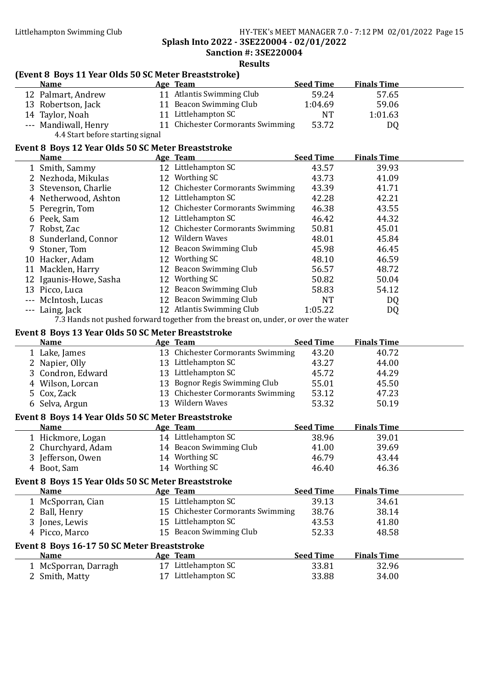#### Littlehampton Swimming Club HY-TEK's MEET MANAGER 7.0 - 7:12 PM 02/01/2022 Page 15 Splash Into 2022 - 3SE220004 - 02/01/2022 Sanction #: 3SE220004

Results

## (Event 8 Boys 11 Year Olds 50 SC Meter Breaststroke)

| <b>Seed Time</b><br><b>Finals Time</b><br>Age Team<br>11 Atlantis Swimming Club<br>12 Palmart, Andrew<br>59.24<br>11 Beacon Swimming Club<br>13 Robertson, Jack<br>1:04.69<br>11 Littlehampton SC<br>14 Taylor, Noah<br>NT<br>1:01.63<br>11 Chichester Cormorants Swimming<br>53.72<br>--- Mandiwall, Henry<br>4.4 Start before starting signal<br>Event 8 Boys 12 Year Olds 50 SC Meter Breaststroke<br><b>Seed Time</b><br><b>Finals Time</b><br><b>Name</b><br>Age Team<br>12 Littlehampton SC<br>1 Smith, Sammy<br>43.57<br>12 Worthing SC<br>43.73<br>41.09<br>2 Nezhoda, Mikulas<br>12 Chichester Cormorants Swimming<br>3 Stevenson, Charlie<br>43.39<br>12 Littlehampton SC<br>42.28<br>4 Netherwood, Ashton<br>12 Chichester Cormorants Swimming<br>5 Peregrin, Tom<br>46.38 | 57.65<br>59.06<br>DQ<br>39.93 |
|---------------------------------------------------------------------------------------------------------------------------------------------------------------------------------------------------------------------------------------------------------------------------------------------------------------------------------------------------------------------------------------------------------------------------------------------------------------------------------------------------------------------------------------------------------------------------------------------------------------------------------------------------------------------------------------------------------------------------------------------------------------------------------------|-------------------------------|
|                                                                                                                                                                                                                                                                                                                                                                                                                                                                                                                                                                                                                                                                                                                                                                                       |                               |
|                                                                                                                                                                                                                                                                                                                                                                                                                                                                                                                                                                                                                                                                                                                                                                                       |                               |
|                                                                                                                                                                                                                                                                                                                                                                                                                                                                                                                                                                                                                                                                                                                                                                                       |                               |
|                                                                                                                                                                                                                                                                                                                                                                                                                                                                                                                                                                                                                                                                                                                                                                                       |                               |
|                                                                                                                                                                                                                                                                                                                                                                                                                                                                                                                                                                                                                                                                                                                                                                                       |                               |
|                                                                                                                                                                                                                                                                                                                                                                                                                                                                                                                                                                                                                                                                                                                                                                                       |                               |
|                                                                                                                                                                                                                                                                                                                                                                                                                                                                                                                                                                                                                                                                                                                                                                                       |                               |
|                                                                                                                                                                                                                                                                                                                                                                                                                                                                                                                                                                                                                                                                                                                                                                                       |                               |
|                                                                                                                                                                                                                                                                                                                                                                                                                                                                                                                                                                                                                                                                                                                                                                                       |                               |
|                                                                                                                                                                                                                                                                                                                                                                                                                                                                                                                                                                                                                                                                                                                                                                                       | 41.71                         |
|                                                                                                                                                                                                                                                                                                                                                                                                                                                                                                                                                                                                                                                                                                                                                                                       | 42.21                         |
|                                                                                                                                                                                                                                                                                                                                                                                                                                                                                                                                                                                                                                                                                                                                                                                       | 43.55                         |
| 12 Littlehampton SC<br>6 Peek, Sam<br>46.42                                                                                                                                                                                                                                                                                                                                                                                                                                                                                                                                                                                                                                                                                                                                           | 44.32                         |
| 12 Chichester Cormorants Swimming<br>7 Robst, Zac<br>50.81                                                                                                                                                                                                                                                                                                                                                                                                                                                                                                                                                                                                                                                                                                                            | 45.01                         |
| 12 Wildern Waves<br>8 Sunderland, Connor<br>48.01                                                                                                                                                                                                                                                                                                                                                                                                                                                                                                                                                                                                                                                                                                                                     | 45.84                         |
| 12 Beacon Swimming Club<br>Stoner, Tom<br>45.98                                                                                                                                                                                                                                                                                                                                                                                                                                                                                                                                                                                                                                                                                                                                       | 46.45                         |
| 12 Worthing SC<br>10 Hacker, Adam<br>48.10                                                                                                                                                                                                                                                                                                                                                                                                                                                                                                                                                                                                                                                                                                                                            | 46.59                         |
| 12 Beacon Swimming Club<br>11 Macklen, Harry<br>56.57                                                                                                                                                                                                                                                                                                                                                                                                                                                                                                                                                                                                                                                                                                                                 | 48.72                         |
| 12 Worthing SC<br>12 Igaunis-Howe, Sasha<br>50.82                                                                                                                                                                                                                                                                                                                                                                                                                                                                                                                                                                                                                                                                                                                                     | 50.04                         |
| 12 Beacon Swimming Club<br>13 Picco, Luca<br>58.83                                                                                                                                                                                                                                                                                                                                                                                                                                                                                                                                                                                                                                                                                                                                    | 54.12                         |
| 12 Beacon Swimming Club<br>--- McIntosh, Lucas<br><b>NT</b>                                                                                                                                                                                                                                                                                                                                                                                                                                                                                                                                                                                                                                                                                                                           | DQ                            |
| 12 Atlantis Swimming Club<br>--- Laing, Jack<br>1:05.22                                                                                                                                                                                                                                                                                                                                                                                                                                                                                                                                                                                                                                                                                                                               | DQ                            |
| 7.3 Hands not pushed forward together from the breast on, under, or over the water                                                                                                                                                                                                                                                                                                                                                                                                                                                                                                                                                                                                                                                                                                    |                               |
| Event 8 Boys 13 Year Olds 50 SC Meter Breaststroke                                                                                                                                                                                                                                                                                                                                                                                                                                                                                                                                                                                                                                                                                                                                    |                               |
| <b>Seed Time</b><br><b>Finals Time</b><br>Age Team<br><b>Name</b>                                                                                                                                                                                                                                                                                                                                                                                                                                                                                                                                                                                                                                                                                                                     |                               |
| 13 Chichester Cormorants Swimming<br>43.20<br>1 Lake, James<br>40.72                                                                                                                                                                                                                                                                                                                                                                                                                                                                                                                                                                                                                                                                                                                  |                               |
|                                                                                                                                                                                                                                                                                                                                                                                                                                                                                                                                                                                                                                                                                                                                                                                       |                               |
| 13 Littlehampton SC<br>2 Napier, Olly<br>43.27                                                                                                                                                                                                                                                                                                                                                                                                                                                                                                                                                                                                                                                                                                                                        | 44.00                         |
| 13 Littlehampton SC<br>3 Condron, Edward<br>45.72                                                                                                                                                                                                                                                                                                                                                                                                                                                                                                                                                                                                                                                                                                                                     | 44.29                         |
| 13 Bognor Regis Swimming Club<br>55.01<br>4 Wilson, Lorcan                                                                                                                                                                                                                                                                                                                                                                                                                                                                                                                                                                                                                                                                                                                            | 45.50                         |
| 13 Chichester Cormorants Swimming<br>53.12<br>5 Cox, Zack                                                                                                                                                                                                                                                                                                                                                                                                                                                                                                                                                                                                                                                                                                                             | 47.23                         |
| 13 Wildern Waves<br>6 Selva, Argun<br>53.32                                                                                                                                                                                                                                                                                                                                                                                                                                                                                                                                                                                                                                                                                                                                           | 50.19                         |
|                                                                                                                                                                                                                                                                                                                                                                                                                                                                                                                                                                                                                                                                                                                                                                                       |                               |
| Event 8 Boys 14 Year Olds 50 SC Meter Breaststroke<br><b>Seed Time</b><br><b>Finals Time</b><br><b>Name</b><br>Age Team                                                                                                                                                                                                                                                                                                                                                                                                                                                                                                                                                                                                                                                               |                               |
| 14 Littlehampton SC<br>1 Hickmore, Logan<br>38.96                                                                                                                                                                                                                                                                                                                                                                                                                                                                                                                                                                                                                                                                                                                                     | 39.01                         |
| 14 Beacon Swimming Club<br>2 Churchyard, Adam<br>41.00                                                                                                                                                                                                                                                                                                                                                                                                                                                                                                                                                                                                                                                                                                                                | 39.69                         |
| 14 Worthing SC<br>3 Jefferson, Owen<br>46.79                                                                                                                                                                                                                                                                                                                                                                                                                                                                                                                                                                                                                                                                                                                                          | 43.44                         |
| 14 Worthing SC<br>46.40<br>4 Boot, Sam                                                                                                                                                                                                                                                                                                                                                                                                                                                                                                                                                                                                                                                                                                                                                | 46.36                         |
|                                                                                                                                                                                                                                                                                                                                                                                                                                                                                                                                                                                                                                                                                                                                                                                       |                               |
| Event 8 Boys 15 Year Olds 50 SC Meter Breaststroke<br><b>Seed Time</b><br><b>Name</b><br><b>Finals Time</b><br>Age Team                                                                                                                                                                                                                                                                                                                                                                                                                                                                                                                                                                                                                                                               |                               |
| 15 Littlehampton SC<br>1 McSporran, Cian<br>39.13                                                                                                                                                                                                                                                                                                                                                                                                                                                                                                                                                                                                                                                                                                                                     | 34.61                         |
| 15 Chichester Cormorants Swimming<br>38.76<br>2 Ball, Henry                                                                                                                                                                                                                                                                                                                                                                                                                                                                                                                                                                                                                                                                                                                           | 38.14                         |
| 15 Littlehampton SC<br>43.53<br>3 Jones, Lewis                                                                                                                                                                                                                                                                                                                                                                                                                                                                                                                                                                                                                                                                                                                                        | 41.80                         |
| 15 Beacon Swimming Club<br>4 Picco, Marco<br>52.33                                                                                                                                                                                                                                                                                                                                                                                                                                                                                                                                                                                                                                                                                                                                    | 48.58                         |
|                                                                                                                                                                                                                                                                                                                                                                                                                                                                                                                                                                                                                                                                                                                                                                                       |                               |
| Event 8 Boys 16-17 50 SC Meter Breaststroke                                                                                                                                                                                                                                                                                                                                                                                                                                                                                                                                                                                                                                                                                                                                           |                               |
| <b>Seed Time</b><br><b>Finals Time</b><br><b>Name</b><br>Age Team<br>17 Littlehampton SC<br>33.81<br>1 McSporran, Darragh                                                                                                                                                                                                                                                                                                                                                                                                                                                                                                                                                                                                                                                             | 32.96                         |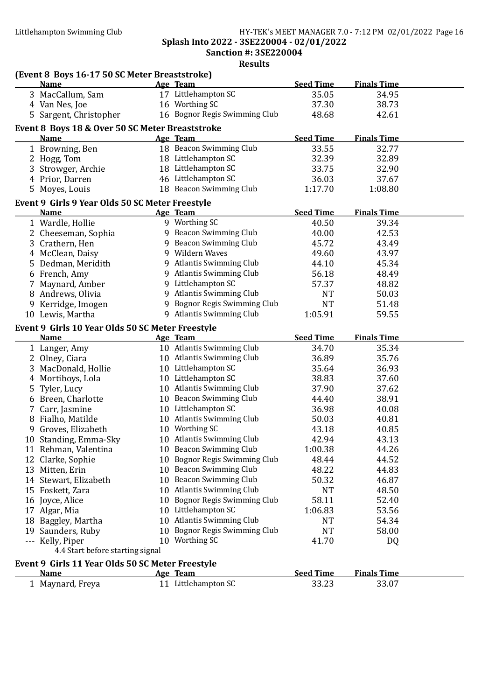### Littlehampton Swimming Club HY-TEK's MEET MANAGER 7.0 - 7:12 PM 02/01/2022 Page 16 Splash Into 2022 - 3SE220004 - 02/01/2022

Sanction #: 3SE220004

| (Event 8 Boys 16-17 50 SC Meter Breaststroke)                  |                                             |                           |                             |  |
|----------------------------------------------------------------|---------------------------------------------|---------------------------|-----------------------------|--|
| <b>Name</b>                                                    | Age Team                                    | <b>Seed Time</b>          | <b>Finals Time</b>          |  |
| 3 MacCallum, Sam                                               | 17 Littlehampton SC                         | 35.05                     | 34.95                       |  |
| 4 Van Nes, Joe                                                 | 16 Worthing SC                              | 37.30                     | 38.73                       |  |
| 5 Sargent, Christopher                                         | 16 Bognor Regis Swimming Club               | 48.68                     | 42.61                       |  |
| Event 8 Boys 18 & Over 50 SC Meter Breaststroke                |                                             |                           |                             |  |
| <b>Name</b>                                                    | Age Team                                    | <b>Seed Time</b>          | <b>Finals Time</b>          |  |
| 1 Browning, Ben                                                | 18 Beacon Swimming Club                     | 33.55                     | 32.77                       |  |
| 2 Hogg, Tom                                                    | 18 Littlehampton SC                         | 32.39                     | 32.89                       |  |
| 3 Strowger, Archie                                             | 18 Littlehampton SC                         | 33.75                     | 32.90                       |  |
| 4 Prior, Darren                                                | 46 Littlehampton SC                         | 36.03                     | 37.67                       |  |
| 5 Moyes, Louis                                                 | 18 Beacon Swimming Club                     | 1:17.70                   | 1:08.80                     |  |
|                                                                |                                             |                           |                             |  |
| Event 9 Girls 9 Year Olds 50 SC Meter Freestyle<br><b>Name</b> | Age Team                                    | <b>Seed Time</b>          | <b>Finals Time</b>          |  |
|                                                                | 9 Worthing SC                               |                           |                             |  |
| 1 Wardle, Hollie                                               |                                             | 40.50                     | 39.34                       |  |
| 2 Cheeseman, Sophia                                            | 9 Beacon Swimming Club                      | 40.00                     | 42.53                       |  |
| 3 Crathern, Hen                                                | 9 Beacon Swimming Club                      | 45.72                     | 43.49                       |  |
| 4 McClean, Daisy                                               | 9 Wildern Waves                             | 49.60                     | 43.97                       |  |
| 5 Dedman, Meridith                                             | 9 Atlantis Swimming Club                    | 44.10                     | 45.34                       |  |
| 6 French, Amy                                                  | 9 Atlantis Swimming Club                    | 56.18                     | 48.49                       |  |
| 7 Maynard, Amber                                               | 9 Littlehampton SC                          | 57.37                     | 48.82                       |  |
| 8 Andrews, Olivia                                              | 9 Atlantis Swimming Club                    | <b>NT</b>                 | 50.03                       |  |
| 9 Kerridge, Imogen                                             | 9 Bognor Regis Swimming Club                | <b>NT</b>                 | 51.48                       |  |
| 10 Lewis, Martha                                               | 9 Atlantis Swimming Club                    | 1:05.91                   | 59.55                       |  |
| Event 9 Girls 10 Year Olds 50 SC Meter Freestyle               |                                             |                           |                             |  |
| <b>Name</b>                                                    | Age Team                                    | <b>Seed Time</b>          | <b>Finals Time</b>          |  |
|                                                                |                                             |                           |                             |  |
| 1 Langer, Amy                                                  | 10 Atlantis Swimming Club                   | 34.70                     | 35.34                       |  |
| 2 Olney, Ciara                                                 | 10 Atlantis Swimming Club                   | 36.89                     | 35.76                       |  |
| 3 MacDonald, Hollie                                            | 10 Littlehampton SC                         | 35.64                     | 36.93                       |  |
| 4 Mortiboys, Lola                                              | 10 Littlehampton SC                         | 38.83                     | 37.60                       |  |
|                                                                | 10 Atlantis Swimming Club                   | 37.90                     | 37.62                       |  |
| 5 Tyler, Lucy                                                  | 10 Beacon Swimming Club                     | 44.40                     | 38.91                       |  |
| 6 Breen, Charlotte                                             | 10 Littlehampton SC                         | 36.98                     |                             |  |
| 7 Carr, Jasmine                                                |                                             |                           | 40.08                       |  |
| 8 Fialho, Matilde                                              | 10 Atlantis Swimming Club                   | 50.03                     | 40.81                       |  |
| 9 Groves, Elizabeth                                            | 10 Worthing SC<br>10 Atlantis Swimming Club | 43.18                     | 40.85                       |  |
| 10 Standing, Emma-Sky                                          |                                             | 42.94                     | 43.13                       |  |
| 11 Rehman, Valentina                                           | 10 Beacon Swimming Club                     | 1:00.38                   | 44.26                       |  |
| 12 Clarke, Sophie                                              | 10 Bognor Regis Swimming Club               | 48.44                     | 44.52                       |  |
| 13 Mitten, Erin                                                | 10 Beacon Swimming Club                     | 48.22                     | 44.83                       |  |
| 14 Stewart, Elizabeth                                          | 10 Beacon Swimming Club                     | 50.32                     | 46.87                       |  |
| 15 Foskett, Zara                                               | 10 Atlantis Swimming Club                   | <b>NT</b>                 | 48.50                       |  |
| 16 Joyce, Alice                                                | 10 Bognor Regis Swimming Club               | 58.11                     | 52.40                       |  |
| 17 Algar, Mia                                                  | 10 Littlehampton SC                         | 1:06.83                   | 53.56                       |  |
| 18 Baggley, Martha                                             | 10 Atlantis Swimming Club                   | <b>NT</b>                 | 54.34                       |  |
| 19 Saunders, Ruby                                              | 10 Bognor Regis Swimming Club               | <b>NT</b>                 | 58.00                       |  |
| --- Kelly, Piper                                               | 10 Worthing SC                              | 41.70                     | DQ                          |  |
| 4.4 Start before starting signal                               |                                             |                           |                             |  |
| Event 9 Girls 11 Year Olds 50 SC Meter Freestyle               |                                             |                           |                             |  |
| <b>Name</b><br>1 Maynard, Freya                                | <b>Age Team</b><br>11 Littlehampton SC      | <b>Seed Time</b><br>33.23 | <b>Finals Time</b><br>33.07 |  |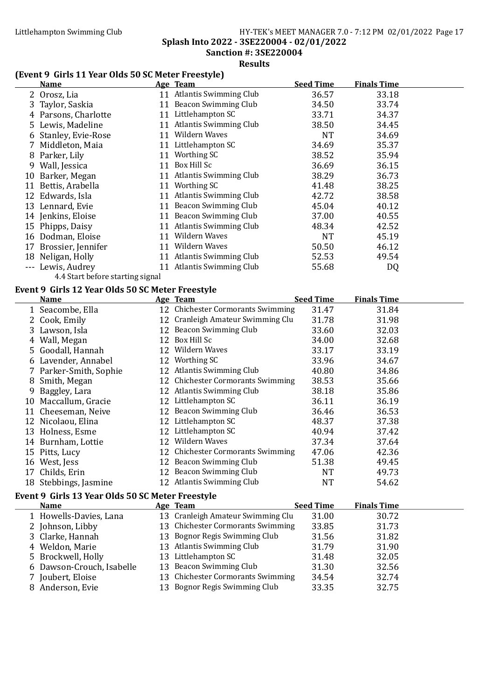#### Littlehampton Swimming Club HY-TEK's MEET MANAGER 7.0 - 7:12 PM 02/01/2022 Page 17 Splash Into 2022 - 3SE220004 - 02/01/2022 Sanction #: 3SE220004

Results

## (Event 9 Girls 11 Year Olds 50 SC Meter Freestyle)

|   | <b>Name</b>                                      |    | Age Team                                      | <b>Seed Time</b> | <b>Finals Time</b> |  |
|---|--------------------------------------------------|----|-----------------------------------------------|------------------|--------------------|--|
|   | 2 Orosz, Lia                                     |    | 11 Atlantis Swimming Club                     | 36.57            | 33.18              |  |
|   | 3 Taylor, Saskia                                 |    | 11 Beacon Swimming Club                       | 34.50            | 33.74              |  |
|   | 4 Parsons, Charlotte                             |    | 11 Littlehampton SC                           | 33.71            | 34.37              |  |
|   | 5 Lewis, Madeline                                |    | 11 Atlantis Swimming Club                     | 38.50            | 34.45              |  |
|   | 6 Stanley, Evie-Rose                             |    | 11 Wildern Waves                              | <b>NT</b>        | 34.69              |  |
|   | 7 Middleton, Maia                                |    | 11 Littlehampton SC                           | 34.69            | 35.37              |  |
|   | 8 Parker, Lily                                   |    | 11 Worthing SC                                | 38.52            | 35.94              |  |
|   |                                                  |    | 11 Box Hill Sc                                | 36.69            | 36.15              |  |
|   | 9 Wall, Jessica                                  |    | 11 Atlantis Swimming Club                     | 38.29            | 36.73              |  |
|   | 10 Barker, Megan                                 |    | 11 Worthing SC                                | 41.48            | 38.25              |  |
|   | 11 Bettis, Arabella                              |    | 11 Atlantis Swimming Club                     | 42.72            |                    |  |
|   | 12 Edwards, Isla                                 |    | 11 Beacon Swimming Club                       |                  | 38.58              |  |
|   | 13 Lennard, Evie                                 |    | 11 Beacon Swimming Club                       | 45.04            | 40.12              |  |
|   | 14 Jenkins, Eloise                               |    |                                               | 37.00            | 40.55              |  |
|   | 15 Phipps, Daisy                                 |    | 11 Atlantis Swimming Club<br>11 Wildern Waves | 48.34            | 42.52              |  |
|   | 16 Dodman, Eloise                                |    | 11 Wildern Waves                              | <b>NT</b>        | 45.19              |  |
|   | 17 Brossier, Jennifer                            |    |                                               | 50.50            | 46.12              |  |
|   | 18 Neligan, Holly                                |    | 11 Atlantis Swimming Club                     | 52.53            | 49.54              |  |
|   | --- Lewis, Audrey                                |    | 11 Atlantis Swimming Club                     | 55.68            | DQ                 |  |
|   | 4.4 Start before starting signal                 |    |                                               |                  |                    |  |
|   | Event 9 Girls 12 Year Olds 50 SC Meter Freestyle |    |                                               |                  |                    |  |
|   | <b>Name</b>                                      |    | Age Team                                      | <b>Seed Time</b> | <b>Finals Time</b> |  |
|   | 1 Seacombe, Ella                                 |    | 12 Chichester Cormorants Swimming             | 31.47            | 31.84              |  |
|   | 2 Cook, Emily                                    |    | 12 Cranleigh Amateur Swimming Clu             | 31.78            | 31.98              |  |
|   | 3 Lawson, Isla                                   |    | 12 Beacon Swimming Club                       | 33.60            | 32.03              |  |
|   | 4 Wall, Megan                                    |    | 12 Box Hill Sc                                | 34.00            | 32.68              |  |
|   | 5 Goodall, Hannah                                |    | 12 Wildern Waves                              | 33.17            | 33.19              |  |
|   | 6 Lavender, Annabel                              |    | 12 Worthing SC                                | 33.96            | 34.67              |  |
|   | 7 Parker-Smith, Sophie                           |    | 12 Atlantis Swimming Club                     | 40.80            | 34.86              |  |
|   | 8 Smith, Megan                                   |    | 12 Chichester Cormorants Swimming             | 38.53            | 35.66              |  |
|   | 9 Baggley, Lara                                  |    | 12 Atlantis Swimming Club                     | 38.18            | 35.86              |  |
|   | 10 Maccallum, Gracie                             |    | 12 Littlehampton SC                           | 36.11            | 36.19              |  |
|   | 11 Cheeseman, Neive                              |    | 12 Beacon Swimming Club                       | 36.46            | 36.53              |  |
|   | 12 Nicolaou, Elina                               |    | 12 Littlehampton SC                           | 48.37            | 37.38              |  |
|   | 13 Holness, Esme                                 |    | 12 Littlehampton SC                           | 40.94            | 37.42              |  |
|   | 14 Burnham, Lottie                               |    | 12 Wildern Waves                              | 37.34            | 37.64              |  |
|   | 15 Pitts, Lucy                                   |    | 12 Chichester Cormorants Swimming             | 47.06            | 42.36              |  |
|   | 16 West, Jess                                    |    | 12 Beacon Swimming Club                       | 51.38            | 49.45              |  |
|   | 17 Childs, Erin                                  |    | 12 Beacon Swimming Club                       | <b>NT</b>        | 49.73              |  |
|   | 18 Stebbings, Jasmine                            |    | 12 Atlantis Swimming Club                     | <b>NT</b>        | 54.62              |  |
|   | Event 9 Girls 13 Year Olds 50 SC Meter Freestyle |    |                                               |                  |                    |  |
|   | <b>Name</b>                                      |    | Age Team                                      | <b>Seed Time</b> | <b>Finals Time</b> |  |
|   | 1 Howells-Davies, Lana                           |    | 13 Cranleigh Amateur Swimming Clu             | 31.00            | 30.72              |  |
|   | 2 Johnson, Libby                                 |    | 13 Chichester Cormorants Swimming             | 33.85            | 31.73              |  |
| 3 | Clarke, Hannah                                   |    | 13 Bognor Regis Swimming Club                 | 31.56            | 31.82              |  |
|   | 4 Weldon, Marie                                  |    | 13 Atlantis Swimming Club                     | 31.79            | 31.90              |  |
|   | 5 Brockwell, Holly                               |    | 13 Littlehampton SC                           | 31.48            | 32.05              |  |
|   | 6 Dawson-Crouch, Isabelle                        |    | 13 Beacon Swimming Club                       | 31.30            | 32.56              |  |
|   | 7 Joubert, Eloise                                | 13 | <b>Chichester Cormorants Swimming</b>         | 34.54            | 32.74              |  |
|   |                                                  |    |                                               |                  |                    |  |
|   | 8 Anderson, Evie                                 |    | 13 Bognor Regis Swimming Club                 | 33.35            | 32.75              |  |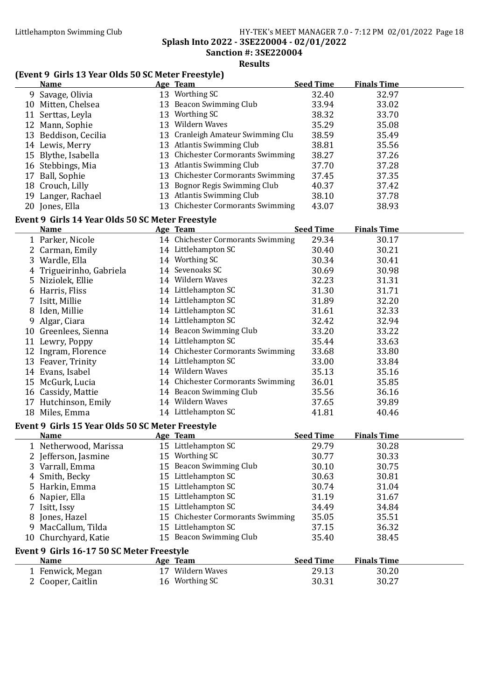#### Littlehampton Swimming Club HY-TEK's MEET MANAGER 7.0 - 7:12 PM 02/01/2022 Page 18 Splash Into 2022 - 3SE220004 - 02/01/2022

Sanction #: 3SE220004

Results

### (Event 9 Girls 13 Year Olds 50 SC Meter Freestyle)

|   | <b>Name</b>                                      | Age Team                          | <b>Seed Time</b> | <b>Finals Time</b> |
|---|--------------------------------------------------|-----------------------------------|------------------|--------------------|
|   | 9 Savage, Olivia                                 | 13 Worthing SC                    | 32.40            | 32.97              |
|   | 10 Mitten, Chelsea                               | 13 Beacon Swimming Club           | 33.94            | 33.02              |
|   | 11 Serttas, Leyla                                | 13 Worthing SC                    | 38.32            | 33.70              |
|   | 12 Mann, Sophie                                  | 13 Wildern Waves                  | 35.29            | 35.08              |
|   | 13 Beddison, Cecilia                             | 13 Cranleigh Amateur Swimming Clu | 38.59            | 35.49              |
|   | 14 Lewis, Merry                                  | 13 Atlantis Swimming Club         | 38.81            | 35.56              |
|   | 15 Blythe, Isabella                              | 13 Chichester Cormorants Swimming | 38.27            | 37.26              |
|   | 16 Stebbings, Mia                                | 13 Atlantis Swimming Club         | 37.70            | 37.28              |
|   | 17 Ball, Sophie                                  | 13 Chichester Cormorants Swimming | 37.45            | 37.35              |
|   | 18 Crouch, Lilly                                 | 13 Bognor Regis Swimming Club     | 40.37            | 37.42              |
|   | 19 Langer, Rachael                               | 13 Atlantis Swimming Club         | 38.10            | 37.78              |
|   | 20 Jones, Ella                                   | 13 Chichester Cormorants Swimming | 43.07            | 38.93              |
|   | Event 9 Girls 14 Year Olds 50 SC Meter Freestyle |                                   |                  |                    |
|   | Name                                             | Age Team                          | <b>Seed Time</b> | <b>Finals Time</b> |
|   | 1 Parker, Nicole                                 | 14 Chichester Cormorants Swimming | 29.34            | 30.17              |
|   | 2 Carman, Emily                                  | 14 Littlehampton SC               | 30.40            | 30.21              |
|   | 3 Wardle, Ella                                   | 14 Worthing SC                    | 30.34            | 30.41              |
|   | 4 Trigueirinho, Gabriela                         | 14 Sevenoaks SC                   | 30.69            | 30.98              |
|   | 5 Niziolek, Ellie                                | 14 Wildern Waves                  | 32.23            | 31.31              |
|   | 6 Harris, Fliss                                  | 14 Littlehampton SC               | 31.30            | 31.71              |
|   | 7 Isitt, Millie                                  | 14 Littlehampton SC               | 31.89            | 32.20              |
|   | 8 Iden, Millie                                   | 14 Littlehampton SC               | 31.61            | 32.33              |
|   | 9 Algar, Ciara                                   | 14 Littlehampton SC               | 32.42            | 32.94              |
|   | 10 Greenlees, Sienna                             | 14 Beacon Swimming Club           | 33.20            | 33.22              |
|   | 11 Lewry, Poppy                                  | 14 Littlehampton SC               | 35.44            | 33.63              |
|   | 12 Ingram, Florence                              | 14 Chichester Cormorants Swimming | 33.68            | 33.80              |
|   | 13 Feaver, Trinity                               | 14 Littlehampton SC               | 33.00            | 33.84              |
|   | 14 Evans, Isabel                                 | 14 Wildern Waves                  | 35.13            | 35.16              |
|   | 15 McGurk, Lucia                                 | 14 Chichester Cormorants Swimming | 36.01            | 35.85              |
|   | 16 Cassidy, Mattie                               | 14 Beacon Swimming Club           | 35.56            | 36.16              |
|   | 17 Hutchinson, Emily                             | 14 Wildern Waves                  | 37.65            | 39.89              |
|   | 18 Miles, Emma                                   | 14 Littlehampton SC               | 41.81            | 40.46              |
|   |                                                  |                                   |                  |                    |
|   | Event 9 Girls 15 Year Olds 50 SC Meter Freestyle |                                   |                  |                    |
|   | <b>Name</b>                                      | Age Team<br>15 Littlehampton SC   | <b>Seed Time</b> | <b>Finals Time</b> |
|   | 1 Netherwood, Marissa                            |                                   | 29.79            | 30.28              |
|   | 2 Jefferson, Jasmine                             | 15 Worthing SC                    | 30.77            | 30.33              |
|   | 3 Varrall, Emma                                  | 15 Beacon Swimming Club           | 30.10            | 30.75              |
| 4 | Smith, Becky                                     | 15 Littlehampton SC               | 30.63            | 30.81              |
|   | 5 Harkin, Emma                                   | 15 Littlehampton SC               | 30.74            | 31.04              |
|   | 6 Napier, Ella                                   | 15 Littlehampton SC               | 31.19            | 31.67              |
|   | 7 Isitt, Issy                                    | 15 Littlehampton SC               | 34.49            | 34.84              |
|   | 8 Jones, Hazel                                   | 15 Chichester Cormorants Swimming | 35.05            | 35.51              |
|   | 9 MacCallum, Tilda                               | 15 Littlehampton SC               | 37.15            | 36.32              |
|   | 10 Churchyard, Katie                             | 15 Beacon Swimming Club           | 35.40            | 38.45              |
|   | Event 9 Girls 16-17 50 SC Meter Freestyle        |                                   |                  |                    |
|   | Name                                             | Age Team                          | <b>Seed Time</b> | <b>Finals Time</b> |
|   | 1 Fenwick, Megan                                 | 17 Wildern Waves                  | 29.13            | 30.20              |
|   | 2 Cooper, Caitlin                                | 16 Worthing SC                    | 30.31            | 30.27              |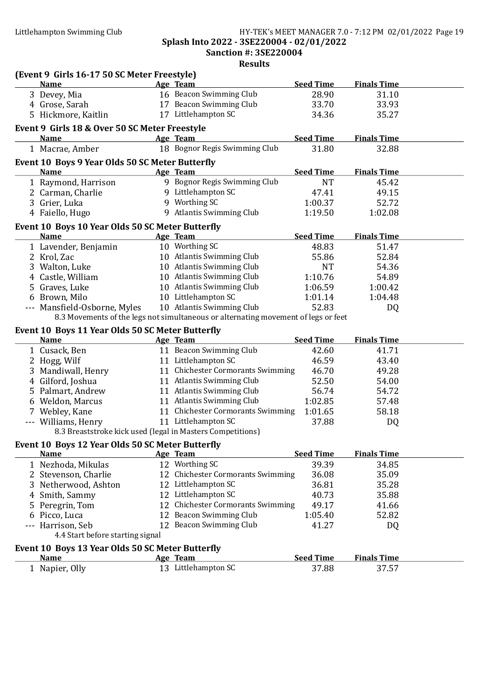#### Littlehampton Swimming Club HY-TEK's MEET MANAGER 7.0 - 7:12 PM 02/01/2022 Page 19 Splash Into 2022 - 3SE220004 - 02/01/2022 Sanction #: 3SE220004

|                                                                                   | Results                                                                            |                           |                    |  |
|-----------------------------------------------------------------------------------|------------------------------------------------------------------------------------|---------------------------|--------------------|--|
| (Event 9 Girls 16-17 50 SC Meter Freestyle)                                       |                                                                                    |                           |                    |  |
| <b>Name</b><br>3 Devey, Mia                                                       | <b>Age Team</b><br>16 Beacon Swimming Club                                         | <b>Seed Time</b><br>28.90 | <b>Finals Time</b> |  |
|                                                                                   | 17 Beacon Swimming Club                                                            |                           | 31.10              |  |
| 4 Grose, Sarah                                                                    | 17 Littlehampton SC                                                                | 33.70                     | 33.93              |  |
| 5 Hickmore, Kaitlin                                                               |                                                                                    | 34.36                     | 35.27              |  |
| Event 9 Girls 18 & Over 50 SC Meter Freestyle                                     |                                                                                    |                           |                    |  |
| <b>Name</b>                                                                       | Age Team                                                                           | <b>Seed Time</b>          | <b>Finals Time</b> |  |
| 1 Macrae, Amber                                                                   | 18 Bognor Regis Swimming Club                                                      | 31.80                     | 32.88              |  |
| Event 10 Boys 9 Year Olds 50 SC Meter Butterfly                                   |                                                                                    |                           |                    |  |
| <b>Name</b>                                                                       | Age Team                                                                           | <b>Seed Time</b>          | <b>Finals Time</b> |  |
| 1 Raymond, Harrison                                                               | 9 Bognor Regis Swimming Club                                                       | <b>NT</b>                 | 45.42              |  |
| 2 Carman, Charlie                                                                 | 9 Littlehampton SC                                                                 | 47.41                     | 49.15              |  |
| 3 Grier, Luka                                                                     | 9 Worthing SC                                                                      | 1:00.37                   | 52.72              |  |
| 4 Faiello, Hugo                                                                   | 9 Atlantis Swimming Club                                                           | 1:19.50                   | 1:02.08            |  |
| Event 10 Boys 10 Year Olds 50 SC Meter Butterfly                                  |                                                                                    |                           |                    |  |
| <b>Name</b>                                                                       | Age Team                                                                           | <b>Seed Time</b>          | <b>Finals Time</b> |  |
| 1 Lavender, Benjamin                                                              | 10 Worthing SC                                                                     | 48.83                     | 51.47              |  |
| 2 Krol, Zac                                                                       | 10 Atlantis Swimming Club                                                          | 55.86                     | 52.84              |  |
| 3 Walton, Luke                                                                    | 10 Atlantis Swimming Club                                                          | <b>NT</b>                 | 54.36              |  |
| 4 Castle, William                                                                 | 10 Atlantis Swimming Club                                                          | 1:10.76                   | 54.89              |  |
| 5 Graves, Luke                                                                    | 10 Atlantis Swimming Club                                                          | 1:06.59                   | 1:00.42            |  |
| 6 Brown, Milo                                                                     | 10 Littlehampton SC                                                                | 1:01.14                   | 1:04.48            |  |
| --- Mansfield-Osborne, Myles                                                      | 10 Atlantis Swimming Club                                                          | 52.83                     | DQ                 |  |
|                                                                                   | 8.3 Movements of the legs not simultaneous or alternating movement of legs or feet |                           |                    |  |
|                                                                                   |                                                                                    |                           |                    |  |
| Event 10 Boys 11 Year Olds 50 SC Meter Butterfly<br><b>Name</b>                   | Age Team                                                                           | <b>Seed Time</b>          | <b>Finals Time</b> |  |
| 1 Cusack, Ben                                                                     | 11 Beacon Swimming Club                                                            | 42.60                     | 41.71              |  |
| 2 Hogg, Wilf                                                                      | 11 Littlehampton SC                                                                | 46.59                     | 43.40              |  |
| 3 Mandiwall, Henry                                                                | 11 Chichester Cormorants Swimming                                                  | 46.70                     | 49.28              |  |
| 4 Gilford, Joshua                                                                 | 11 Atlantis Swimming Club                                                          | 52.50                     | 54.00              |  |
| 5 Palmart, Andrew                                                                 | 11 Atlantis Swimming Club                                                          | 56.74                     | 54.72              |  |
|                                                                                   | 11 Atlantis Swimming Club                                                          | 1:02.85                   | 57.48              |  |
| 6 Weldon, Marcus                                                                  |                                                                                    |                           |                    |  |
| 7 Webley, Kane                                                                    | 11 Chichester Cormorants Swimming<br>11 Littlehampton SC                           | 1:01.65                   | 58.18              |  |
| --- Williams, Henry<br>8.3 Breaststroke kick used (legal in Masters Competitions) |                                                                                    | 37.88                     | <b>DQ</b>          |  |
|                                                                                   |                                                                                    |                           |                    |  |
| Event 10 Boys 12 Year Olds 50 SC Meter Butterfly                                  |                                                                                    |                           |                    |  |
| <b>Name</b>                                                                       | Age Team                                                                           | <b>Seed Time</b>          | <b>Finals Time</b> |  |
| 1 Nezhoda, Mikulas                                                                | 12 Worthing SC                                                                     | 39.39                     | 34.85              |  |
| 2 Stevenson, Charlie                                                              | 12 Chichester Cormorants Swimming                                                  | 36.08                     | 35.09              |  |
| 3 Netherwood, Ashton                                                              | 12 Littlehampton SC                                                                | 36.81                     | 35.28              |  |
| 4 Smith, Sammy                                                                    | 12 Littlehampton SC                                                                | 40.73                     | 35.88              |  |
| 5 Peregrin, Tom                                                                   | 12 Chichester Cormorants Swimming                                                  | 49.17                     | 41.66              |  |
| 6 Picco, Luca                                                                     | 12 Beacon Swimming Club                                                            | 1:05.40                   | 52.82              |  |
| --- Harrison, Seb                                                                 | 12 Beacon Swimming Club                                                            | 41.27                     | DQ                 |  |
| 4.4 Start before starting signal                                                  |                                                                                    |                           |                    |  |
| Event 10 Boys 13 Year Olds 50 SC Meter Butterfly                                  |                                                                                    |                           |                    |  |
| <b>Name</b>                                                                       | Age Team                                                                           | <b>Seed Time</b>          | <b>Finals Time</b> |  |
| 1 Napier, Olly                                                                    | 13 Littlehampton SC                                                                | 37.88                     | 37.57              |  |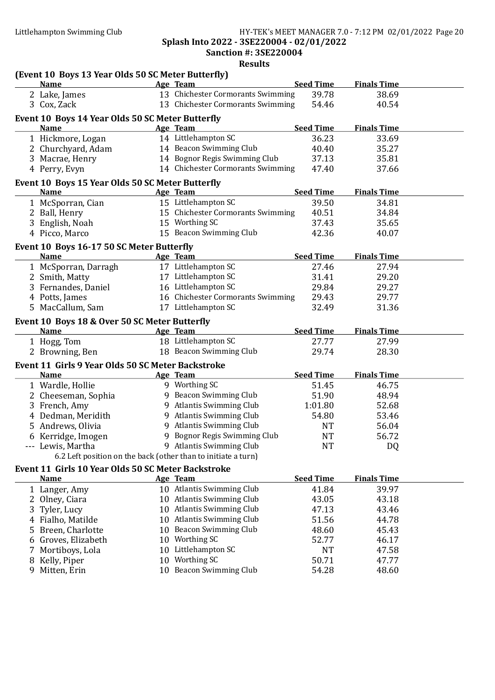#### Littlehampton Swimming Club HY-TEK's MEET MANAGER 7.0 - 7:12 PM 02/01/2022 Page 20 Splash Into 2022 - 3SE220004 - 02/01/2022

Sanction #: 3SE220004

|    |                                                                                                | <b>Results</b>                                                |                  |                    |  |
|----|------------------------------------------------------------------------------------------------|---------------------------------------------------------------|------------------|--------------------|--|
|    | (Event 10 Boys 13 Year Olds 50 SC Meter Butterfly)<br><b>Example 2</b> Age Team<br><b>Name</b> |                                                               | <b>Seed Time</b> | <b>Finals Time</b> |  |
|    | 2 Lake, James                                                                                  | 13 Chichester Cormorants Swimming                             | 39.78            | 38.69              |  |
|    | 3 Cox, Zack                                                                                    | 13 Chichester Cormorants Swimming                             | 54.46            | 40.54              |  |
|    |                                                                                                |                                                               |                  |                    |  |
|    | Event 10 Boys 14 Year Olds 50 SC Meter Butterfly                                               |                                                               |                  |                    |  |
|    | <b>Name</b>                                                                                    | Age Team                                                      | <b>Seed Time</b> | <b>Finals Time</b> |  |
|    | 1 Hickmore, Logan                                                                              | 14 Littlehampton SC                                           | 36.23            | 33.69              |  |
|    | 2 Churchyard, Adam                                                                             | 14 Beacon Swimming Club                                       | 40.40            | 35.27              |  |
|    | 3 Macrae, Henry                                                                                | 14 Bognor Regis Swimming Club                                 | 37.13            | 35.81              |  |
|    | 4 Perry, Evyn                                                                                  | 14 Chichester Cormorants Swimming                             | 47.40            | 37.66              |  |
|    | Event 10 Boys 15 Year Olds 50 SC Meter Butterfly                                               |                                                               |                  |                    |  |
|    | <b>Name</b>                                                                                    | Age Team                                                      | <b>Seed Time</b> | <b>Finals Time</b> |  |
|    | 1 McSporran, Cian                                                                              | 15 Littlehampton SC                                           | 39.50            | 34.81              |  |
|    | 2 Ball, Henry                                                                                  | 15 Chichester Cormorants Swimming                             | 40.51            | 34.84              |  |
|    | 3 English, Noah                                                                                | 15 Worthing SC                                                | 37.43            | 35.65              |  |
|    | 4 Picco, Marco                                                                                 | 15 Beacon Swimming Club                                       | 42.36            | 40.07              |  |
|    | Event 10 Boys 16-17 50 SC Meter Butterfly                                                      |                                                               |                  |                    |  |
|    | <b>Name</b>                                                                                    | Age Team                                                      | <b>Seed Time</b> | <b>Finals Time</b> |  |
|    | 1 McSporran, Darragh                                                                           | 17 Littlehampton SC                                           | 27.46            | 27.94              |  |
|    | 2 Smith, Matty                                                                                 | 17 Littlehampton SC                                           | 31.41            | 29.20              |  |
|    | 3 Fernandes, Daniel                                                                            | 16 Littlehampton SC                                           | 29.84            | 29.27              |  |
|    | 4 Potts, James                                                                                 | 16 Chichester Cormorants Swimming                             | 29.43            | 29.77              |  |
|    | 5 MacCallum, Sam                                                                               | 17 Littlehampton SC                                           | 32.49            | 31.36              |  |
|    |                                                                                                |                                                               |                  |                    |  |
|    | Event 10 Boys 18 & Over 50 SC Meter Butterfly<br><b>Name</b>                                   | Age Team                                                      | <b>Seed Time</b> | <b>Finals Time</b> |  |
|    | 1 Hogg, Tom                                                                                    | 18 Littlehampton SC                                           | 27.77            | 27.99              |  |
|    | 2 Browning, Ben                                                                                | 18 Beacon Swimming Club                                       | 29.74            | 28.30              |  |
|    |                                                                                                |                                                               |                  |                    |  |
|    | Event 11 Girls 9 Year Olds 50 SC Meter Backstroke                                              |                                                               |                  |                    |  |
|    | <b>Name</b>                                                                                    | Age Team                                                      | <b>Seed Time</b> | <b>Finals Time</b> |  |
|    | 1 Wardle, Hollie                                                                               | 9 Worthing SC                                                 | 51.45            | 46.75              |  |
|    | 2 Cheeseman, Sophia                                                                            | 9 Beacon Swimming Club                                        | 51.90            | 48.94              |  |
|    | 3 French, Amy                                                                                  | 9 Atlantis Swimming Club                                      | 1:01.80          | 52.68              |  |
|    | 4 Dedman, Meridith                                                                             | 9 Atlantis Swimming Club                                      | 54.80            | 53.46              |  |
|    | 5 Andrews, Olivia                                                                              | 9 Atlantis Swimming Club                                      | <b>NT</b>        | 56.04              |  |
|    | 6 Kerridge, Imogen                                                                             | 9 Bognor Regis Swimming Club                                  | <b>NT</b>        | 56.72              |  |
|    | --- Lewis, Martha                                                                              | 9 Atlantis Swimming Club                                      | <b>NT</b>        | DQ                 |  |
|    |                                                                                                | 6.2 Left position on the back (other than to initiate a turn) |                  |                    |  |
|    | Event 11 Girls 10 Year Olds 50 SC Meter Backstroke                                             |                                                               |                  |                    |  |
|    | <b>Name</b>                                                                                    | Age Team                                                      | <b>Seed Time</b> | <b>Finals Time</b> |  |
|    | 1 Langer, Amy                                                                                  | 10 Atlantis Swimming Club                                     | 41.84            | 39.97              |  |
|    | 2 Olney, Ciara                                                                                 | 10 Atlantis Swimming Club                                     | 43.05            | 43.18              |  |
|    | 3 Tyler, Lucy                                                                                  | 10 Atlantis Swimming Club                                     | 47.13            | 43.46              |  |
|    | 4 Fialho, Matilde                                                                              | 10 Atlantis Swimming Club                                     | 51.56            | 44.78              |  |
| 5. | Breen, Charlotte                                                                               | 10 Beacon Swimming Club                                       | 48.60            | 45.43              |  |
|    | 6 Groves, Elizabeth                                                                            | 10 Worthing SC                                                | 52.77            | 46.17              |  |
|    | Mortiboys, Lola                                                                                | 10 Littlehampton SC                                           | <b>NT</b>        | 47.58              |  |
| 8  | Kelly, Piper                                                                                   | 10 Worthing SC                                                | 50.71            | 47.77              |  |
| 9  | Mitten, Erin                                                                                   | 10 Beacon Swimming Club                                       | 54.28            | 48.60              |  |
|    |                                                                                                |                                                               |                  |                    |  |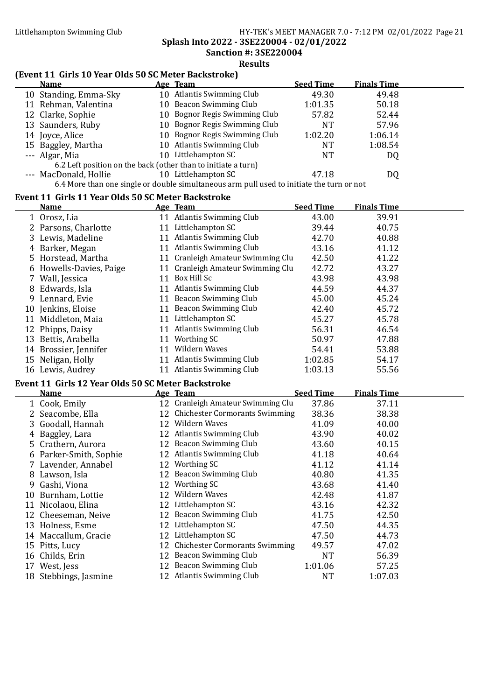#### Littlehampton Swimming Club HY-TEK's MEET MANAGER 7.0 - 7:12 PM 02/01/2022 Page 21 Splash Into 2022 - 3SE220004 - 02/01/2022 Sanction #: 3SE220004

Results

### (Event 11 Girls 10 Year Olds 50 SC Meter Backstroke)

| Name                                                          | Age Team                                                                                  | <b>Seed Time</b> | <b>Finals Time</b> |  |
|---------------------------------------------------------------|-------------------------------------------------------------------------------------------|------------------|--------------------|--|
| 10 Standing, Emma-Sky                                         | 10 Atlantis Swimming Club                                                                 | 49.30            | 49.48              |  |
| 11 Rehman, Valentina                                          | 10 Beacon Swimming Club                                                                   | 1:01.35          | 50.18              |  |
| 12 Clarke, Sophie                                             | 10 Bognor Regis Swimming Club                                                             | 57.82            | 52.44              |  |
| 13 Saunders, Ruby                                             | 10 Bognor Regis Swimming Club                                                             | NT               | 57.96              |  |
| 14 Joyce, Alice                                               | 10 Bognor Regis Swimming Club                                                             | 1:02.20          | 1:06.14            |  |
| 15 Baggley, Martha                                            | 10 Atlantis Swimming Club                                                                 | NT               | 1:08.54            |  |
| --- Algar, Mia                                                | 10 Littlehampton SC                                                                       | <b>NT</b>        | DQ                 |  |
| 6.2 Left position on the back (other than to initiate a turn) |                                                                                           |                  |                    |  |
| --- MacDonald, Hollie                                         | 10 Littlehampton SC                                                                       | 47.18            | DQ                 |  |
|                                                               | 6.4 More than one single or double simultaneous arm pull used to initiate the turn or not |                  |                    |  |

#### Event 11 Girls 11 Year Olds 50 SC Meter Backstroke

| <b>Name</b>             |    | Age Team                          | <b>Seed Time</b> | <b>Finals Time</b> |  |
|-------------------------|----|-----------------------------------|------------------|--------------------|--|
| 1 Orosz, Lia            | 11 | Atlantis Swimming Club            | 43.00            | 39.91              |  |
| 2 Parsons, Charlotte    | 11 | Littlehampton SC                  | 39.44            | 40.75              |  |
| 3 Lewis, Madeline       |    | 11 Atlantis Swimming Club         | 42.70            | 40.88              |  |
| 4 Barker, Megan         | 11 | <b>Atlantis Swimming Club</b>     | 43.16            | 41.12              |  |
| 5 Horstead, Martha      |    | 11 Cranleigh Amateur Swimming Clu | 42.50            | 41.22              |  |
| 6 Howells-Davies, Paige |    | 11 Cranleigh Amateur Swimming Clu | 42.72            | 43.27              |  |
| 7 Wall, Jessica         | 11 | Box Hill Sc                       | 43.98            | 43.98              |  |
| 8 Edwards, Isla         | 11 | <b>Atlantis Swimming Club</b>     | 44.59            | 44.37              |  |
| 9 Lennard, Evie         | 11 | Beacon Swimming Club              | 45.00            | 45.24              |  |
| 10 Jenkins, Eloise      | 11 | Beacon Swimming Club              | 42.40            | 45.72              |  |
| 11 Middleton, Maia      | 11 | Littlehampton SC                  | 45.27            | 45.78              |  |
| 12 Phipps, Daisy        | 11 | <b>Atlantis Swimming Club</b>     | 56.31            | 46.54              |  |
| 13 Bettis, Arabella     | 11 | Worthing SC                       | 50.97            | 47.88              |  |
| 14 Brossier, Jennifer   | 11 | Wildern Waves                     | 54.41            | 53.88              |  |
| 15 Neligan, Holly       | 11 | Atlantis Swimming Club            | 1:02.85          | 54.17              |  |
| 16 Lewis, Audrey        | 11 | <b>Atlantis Swimming Club</b>     | 1:03.13          | 55.56              |  |

#### Event 11 Girls 12 Year Olds 50 SC Meter Backstroke

|   | EVEIIL II 'UII IS 12' IEAL UIUS 30' SU MELEL DACKSLIUKE |    |                                   |                  |                    |  |  |  |
|---|---------------------------------------------------------|----|-----------------------------------|------------------|--------------------|--|--|--|
|   | <b>Name</b>                                             |    | Age Team                          | <b>Seed Time</b> | <b>Finals Time</b> |  |  |  |
|   | 1 Cook, Emily                                           |    | 12 Cranleigh Amateur Swimming Clu | 37.86            | 37.11              |  |  |  |
|   | 2 Seacombe, Ella                                        |    | 12 Chichester Cormorants Swimming | 38.36            | 38.38              |  |  |  |
|   | 3 Goodall, Hannah                                       | 12 | Wildern Waves                     | 41.09            | 40.00              |  |  |  |
|   | Baggley, Lara                                           |    | 12 Atlantis Swimming Club         | 43.90            | 40.02              |  |  |  |
|   | 5 Crathern, Aurora                                      |    | 12 Beacon Swimming Club           | 43.60            | 40.15              |  |  |  |
|   | 6 Parker-Smith, Sophie                                  |    | 12 Atlantis Swimming Club         | 41.18            | 40.64              |  |  |  |
|   | 7 Lavender, Annabel                                     | 12 | Worthing SC                       | 41.12            | 41.14              |  |  |  |
|   | 8 Lawson, Isla                                          |    | 12 Beacon Swimming Club           | 40.80            | 41.35              |  |  |  |
| 9 | Gashi, Viona                                            | 12 | Worthing SC                       | 43.68            | 41.40              |  |  |  |
|   | 10 Burnham, Lottie                                      | 12 | Wildern Waves                     | 42.48            | 41.87              |  |  |  |
|   | 11 Nicolaou, Elina                                      |    | 12 Littlehampton SC               | 43.16            | 42.32              |  |  |  |
|   | 12 Cheeseman, Neive                                     |    | 12 Beacon Swimming Club           | 41.75            | 42.50              |  |  |  |
|   | 13 Holness, Esme                                        |    | 12 Littlehampton SC               | 47.50            | 44.35              |  |  |  |
|   | 14 Maccallum, Gracie                                    |    | 12 Littlehampton SC               | 47.50            | 44.73              |  |  |  |
|   | 15 Pitts, Lucy                                          |    | 12 Chichester Cormorants Swimming | 49.57            | 47.02              |  |  |  |
|   | 16 Childs, Erin                                         | 12 | Beacon Swimming Club              | <b>NT</b>        | 56.39              |  |  |  |
|   | 17 West, Jess                                           |    | 12 Beacon Swimming Club           | 1:01.06          | 57.25              |  |  |  |
|   | 18 Stebbings, Jasmine                                   |    | 12 Atlantis Swimming Club         | <b>NT</b>        | 1:07.03            |  |  |  |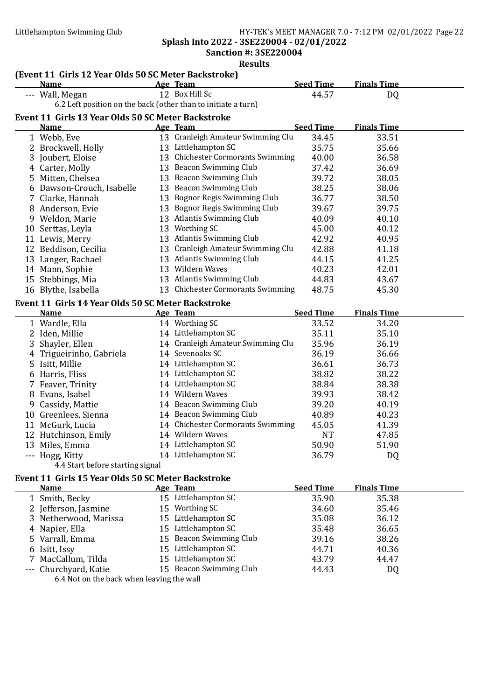Splash Into 2022 - 3SE220004 - 02/01/2022 Sanction #: 3SE220004

| <b>Results</b>                                     |                                                                   |  |                                   |                  |                    |  |  |
|----------------------------------------------------|-------------------------------------------------------------------|--|-----------------------------------|------------------|--------------------|--|--|
|                                                    | (Event 11 Girls 12 Year Olds 50 SC Meter Backstroke)              |  |                                   |                  |                    |  |  |
|                                                    | <b>Name</b>                                                       |  | Age Team                          | <b>Seed Time</b> | <b>Finals Time</b> |  |  |
|                                                    | --- Wall, Megan                                                   |  | 12 Box Hill Sc                    | 44.57            | DQ                 |  |  |
|                                                    | 6.2 Left position on the back (other than to initiate a turn)     |  |                                   |                  |                    |  |  |
|                                                    | Event 11 Girls 13 Year Olds 50 SC Meter Backstroke                |  |                                   |                  |                    |  |  |
|                                                    | <b>Name</b>                                                       |  | Age Team                          | <b>Seed Time</b> | <b>Finals Time</b> |  |  |
|                                                    | 1 Webb, Eve                                                       |  | 13 Cranleigh Amateur Swimming Clu | 34.45            | 33.51              |  |  |
|                                                    | 2 Brockwell, Holly                                                |  | 13 Littlehampton SC               | 35.75            | 35.66              |  |  |
|                                                    | 3 Joubert, Eloise                                                 |  | 13 Chichester Cormorants Swimming | 40.00            | 36.58              |  |  |
|                                                    | 4 Carter, Molly                                                   |  | 13 Beacon Swimming Club           | 37.42            | 36.69              |  |  |
|                                                    | 5 Mitten, Chelsea                                                 |  | 13 Beacon Swimming Club           | 39.72            | 38.05              |  |  |
|                                                    | 6 Dawson-Crouch, Isabelle                                         |  | 13 Beacon Swimming Club           | 38.25            | 38.06              |  |  |
|                                                    | 7 Clarke, Hannah                                                  |  | 13 Bognor Regis Swimming Club     | 36.77            | 38.50              |  |  |
|                                                    | 8 Anderson, Evie                                                  |  | 13 Bognor Regis Swimming Club     | 39.67            | 39.75              |  |  |
|                                                    | 9 Weldon, Marie                                                   |  | 13 Atlantis Swimming Club         | 40.09            | 40.10              |  |  |
|                                                    | 10 Serttas, Leyla                                                 |  | 13 Worthing SC                    | 45.00            | 40.12              |  |  |
|                                                    | 11 Lewis, Merry                                                   |  | 13 Atlantis Swimming Club         | 42.92            | 40.95              |  |  |
|                                                    | 12 Beddison, Cecilia                                              |  | 13 Cranleigh Amateur Swimming Clu | 42.88            | 41.18              |  |  |
|                                                    | 13 Langer, Rachael                                                |  | 13 Atlantis Swimming Club         | 44.15            | 41.25              |  |  |
|                                                    | 14 Mann, Sophie                                                   |  | 13 Wildern Waves                  | 40.23            | 42.01              |  |  |
|                                                    | 15 Stebbings, Mia                                                 |  | 13 Atlantis Swimming Club         | 44.83            | 43.67              |  |  |
|                                                    | 16 Blythe, Isabella                                               |  | 13 Chichester Cormorants Swimming | 48.75            | 45.30              |  |  |
|                                                    |                                                                   |  |                                   |                  |                    |  |  |
|                                                    | Event 11 Girls 14 Year Olds 50 SC Meter Backstroke<br><b>Name</b> |  | Age Team                          | <b>Seed Time</b> | <b>Finals Time</b> |  |  |
|                                                    | 1 Wardle, Ella                                                    |  | 14 Worthing SC                    | 33.52            | 34.20              |  |  |
|                                                    | 2 Iden, Millie                                                    |  | 14 Littlehampton SC               | 35.11            | 35.10              |  |  |
| 3                                                  | Shayler, Ellen                                                    |  | 14 Cranleigh Amateur Swimming Clu | 35.96            | 36.19              |  |  |
|                                                    | Trigueirinho, Gabriela                                            |  | 14 Sevenoaks SC                   | 36.19            | 36.66              |  |  |
| $\overline{4}$                                     | 5 Isitt, Millie                                                   |  | 14 Littlehampton SC               | 36.61            | 36.73              |  |  |
|                                                    |                                                                   |  | 14 Littlehampton SC               |                  |                    |  |  |
|                                                    | 6 Harris, Fliss                                                   |  | 14 Littlehampton SC               | 38.82            | 38.22<br>38.38     |  |  |
|                                                    | 7 Feaver, Trinity                                                 |  | 14 Wildern Waves                  | 38.84            |                    |  |  |
|                                                    | 8 Evans, Isabel                                                   |  |                                   | 39.93            | 38.42              |  |  |
| 9                                                  | Cassidy, Mattie                                                   |  | 14 Beacon Swimming Club           | 39.20            | 40.19              |  |  |
|                                                    | 10 Greenlees, Sienna                                              |  | 14 Beacon Swimming Club           | 40.89            | 40.23              |  |  |
|                                                    | 11 McGurk, Lucia                                                  |  | 14 Chichester Cormorants Swimming | 45.05            | 41.39              |  |  |
|                                                    | 12 Hutchinson, Emily                                              |  | 14 Wildern Waves                  | <b>NT</b>        | 47.85              |  |  |
|                                                    | 13 Miles, Emma                                                    |  | 14 Littlehampton SC               | 50.90            | 51.90              |  |  |
|                                                    | --- Hogg, Kitty                                                   |  | 14 Littlehampton SC               | 36.79            | DQ                 |  |  |
|                                                    | 4.4 Start before starting signal                                  |  |                                   |                  |                    |  |  |
| Event 11 Girls 15 Year Olds 50 SC Meter Backstroke |                                                                   |  |                                   |                  |                    |  |  |
|                                                    | <b>Name</b>                                                       |  | Age Team                          | <b>Seed Time</b> | <b>Finals Time</b> |  |  |
|                                                    | 1 Smith, Becky                                                    |  | 15 Littlehampton SC               | 35.90            | 35.38              |  |  |
|                                                    | 2 Jefferson, Jasmine                                              |  | 15 Worthing SC                    | 34.60            | 35.46              |  |  |
|                                                    | 3 Netherwood, Marissa                                             |  | 15 Littlehampton SC               | 35.08            | 36.12              |  |  |
|                                                    | 4 Napier, Ella                                                    |  | 15 Littlehampton SC               | 35.48            | 36.65              |  |  |
|                                                    | 5 Varrall, Emma                                                   |  | 15 Beacon Swimming Club           | 39.16            | 38.26              |  |  |
|                                                    | 6 Isitt, Issy                                                     |  | 15 Littlehampton SC               | 44.71            | 40.36              |  |  |

7 MacCallum, Tilda 15 Littlehampton SC 43.79 44.47<br>
--- Churchyard, Katie 15 Beacon Swimming Club 44.43 DQ 15 Beacon Swimming Club 44.43 DQ 6.4 Not on the back when leaving the wall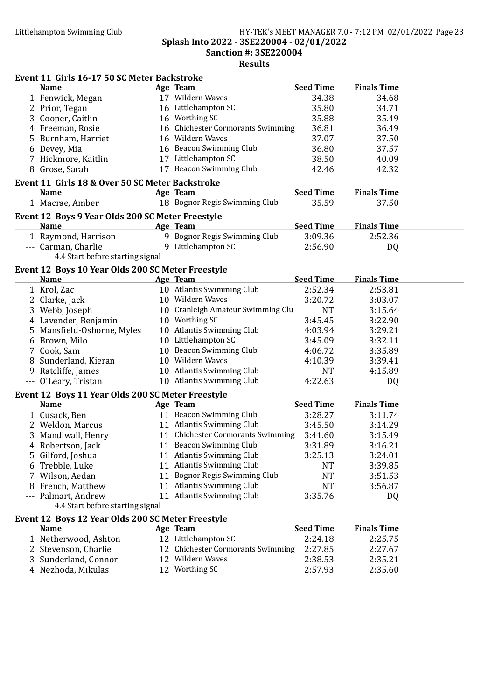#### Littlehampton Swimming Club HY-TEK's MEET MANAGER 7.0 - 7:12 PM 02/01/2022 Page 23 Splash Into 2022 - 3SE220004 - 02/01/2022 Sanction #: 3SE220004 Results

#### Event 11 Girls 16-17 50 SC Meter Backstroke

| EVENT 11 GIFTS 10-17 50 SC METER BACKSTFORE<br><b>Name</b>       | Age Team                          | <b>Seed Time</b> | <b>Finals Time</b> |  |
|------------------------------------------------------------------|-----------------------------------|------------------|--------------------|--|
| 1 Fenwick, Megan                                                 | 17 Wildern Waves                  | 34.38            | 34.68              |  |
| 2 Prior, Tegan                                                   | 16 Littlehampton SC               | 35.80            | 34.71              |  |
| 3 Cooper, Caitlin                                                | 16 Worthing SC                    | 35.88            | 35.49              |  |
| 4 Freeman, Rosie                                                 | 16 Chichester Cormorants Swimming | 36.81            | 36.49              |  |
| 5 Burnham, Harriet                                               | 16 Wildern Waves                  | 37.07            | 37.50              |  |
| 6 Devey, Mia                                                     | 16 Beacon Swimming Club           | 36.80            | 37.57              |  |
| 7 Hickmore, Kaitlin                                              | 17 Littlehampton SC               | 38.50            | 40.09              |  |
| 8 Grose, Sarah                                                   | 17 Beacon Swimming Club           | 42.46            | 42.32              |  |
| Event 11 Girls 18 & Over 50 SC Meter Backstroke                  |                                   |                  |                    |  |
| <b>Name</b>                                                      | Age Team                          | <b>Seed Time</b> | <b>Finals Time</b> |  |
| 1 Macrae, Amber                                                  | 18 Bognor Regis Swimming Club     | 35.59            | 37.50              |  |
|                                                                  |                                   |                  |                    |  |
| Event 12 Boys 9 Year Olds 200 SC Meter Freestyle<br><b>Name</b>  | Age Team                          | <b>Seed Time</b> | <b>Finals Time</b> |  |
|                                                                  | 9 Bognor Regis Swimming Club      | 3:09.36          | 2:52.36            |  |
| 1 Raymond, Harrison<br>--- Carman, Charlie                       | 9 Littlehampton SC                | 2:56.90          | DQ                 |  |
| 4.4 Start before starting signal                                 |                                   |                  |                    |  |
|                                                                  |                                   |                  |                    |  |
| Event 12 Boys 10 Year Olds 200 SC Meter Freestyle<br><b>Name</b> | Age Team                          | <b>Seed Time</b> | <b>Finals Time</b> |  |
| 1 Krol, Zac                                                      | 10 Atlantis Swimming Club         | 2:52.34          | 2:53.81            |  |
| 2 Clarke, Jack                                                   | 10 Wildern Waves                  | 3:20.72          | 3:03.07            |  |
| 3 Webb, Joseph                                                   | 10 Cranleigh Amateur Swimming Clu | <b>NT</b>        | 3:15.64            |  |
|                                                                  | 10 Worthing SC                    | 3:45.45          |                    |  |
| 4 Lavender, Benjamin                                             | 10 Atlantis Swimming Club         |                  | 3:22.90            |  |
| 5 Mansfield-Osborne, Myles                                       | 10 Littlehampton SC               | 4:03.94          | 3:29.21            |  |
| 6 Brown, Milo                                                    | 10 Beacon Swimming Club           | 3:45.09          | 3:32.11            |  |
| 7 Cook, Sam                                                      | 10 Wildern Waves                  | 4:06.72          | 3:35.89            |  |
| 8 Sunderland, Kieran                                             |                                   | 4:10.39          | 3:39.41            |  |
| 9 Ratcliffe, James                                               | 10 Atlantis Swimming Club         | <b>NT</b>        | 4:15.89            |  |
| --- O'Leary, Tristan                                             | 10 Atlantis Swimming Club         | 4:22.63          | DQ                 |  |
| Event 12 Boys 11 Year Olds 200 SC Meter Freestyle                |                                   |                  |                    |  |
| <b>Name</b>                                                      | Age Team                          | <b>Seed Time</b> | <b>Finals Time</b> |  |
| 1 Cusack, Ben                                                    | 11 Beacon Swimming Club           | 3:28.27          | 3:11.74            |  |
| 2 Weldon, Marcus                                                 | 11 Atlantis Swimming Club         | 3:45.50          | 3:14.29            |  |
| 3 Mandiwall, Henry                                               | 11 Chichester Cormorants Swimming | 3:41.60          | 3:15.49            |  |
| 4 Robertson, Jack                                                | 11 Beacon Swimming Club           | 3:31.89          | 3:16.21            |  |
| 5 Gilford, Joshua                                                | 11 Atlantis Swimming Club         | 3:25.13          | 3:24.01            |  |
| 6 Trebble, Luke                                                  | 11 Atlantis Swimming Club         | <b>NT</b>        | 3:39.85            |  |
| 7 Wilson, Aedan                                                  | 11 Bognor Regis Swimming Club     | <b>NT</b>        | 3:51.53            |  |
| 8 French, Matthew                                                | 11 Atlantis Swimming Club         | <b>NT</b>        | 3:56.87            |  |
| --- Palmart, Andrew                                              | 11 Atlantis Swimming Club         | 3:35.76          | DQ                 |  |
| 4.4 Start before starting signal                                 |                                   |                  |                    |  |
| Event 12 Boys 12 Year Olds 200 SC Meter Freestyle                |                                   |                  |                    |  |
| <b>Name</b>                                                      | Age Team                          | <b>Seed Time</b> | <b>Finals Time</b> |  |
| 1 Netherwood, Ashton                                             | 12 Littlehampton SC               | 2:24.18          | 2:25.75            |  |
| 2 Stevenson, Charlie                                             | 12 Chichester Cormorants Swimming | 2:27.85          | 2:27.67            |  |
| 3 Sunderland, Connor                                             | 12 Wildern Waves                  | 2:38.53          | 2:35.21            |  |

3 Sunderland, Connor 12 Wildern Waves 2:38.53<br>4 Nezhoda, Mikulas 12 Worthing SC 2:57.93

4 Nezhoda, Mikulas 12 Worthing SC 2:57.93 2:35.60